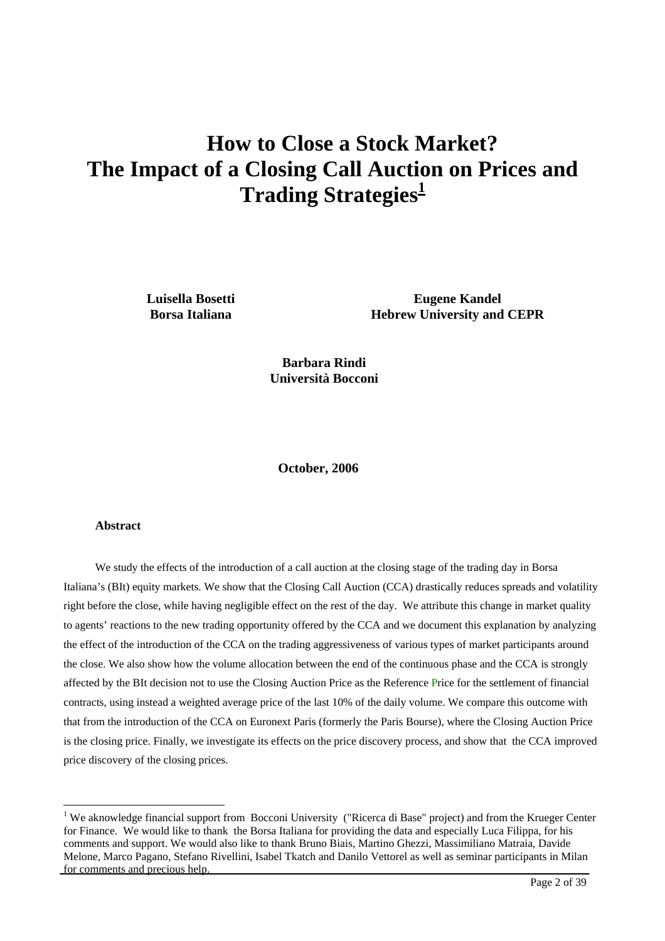# <span id="page-0-1"></span>**How to Close a Stock Market? The Impact of a Closing Call Auction on Prices and Trading Strategies**<sup>1</sup>

**Luisella Bosetti Borsa Italiana** 

**Eugene Kandel Hebrew University and CEPR** 

**Barbara Rindi Università Bocconi** 

 **October, 2006** 

#### **Abstract**

 $\overline{a}$ 

We study the effects of the introduction of a call auction at the closing stage of the trading day in Borsa Italiana's (BIt) equity markets. We show that the Closing Call Auction (CCA) drastically reduces spreads and volatility right before the close, while having negligible effect on the rest of the day. We attribute this change in market quality to agents' reactions to the new trading opportunity offered by the CCA and we document this explanation by analyzing the effect of the introduction of the CCA on the trading aggressiveness of various types of market participants around the close. We also show how the volume allocation between the end of the continuous phase and the CCA is strongly affected by the BIt decision not to use the Closing Auction Price as the Reference Price for the settlement of financial contracts, using instead a weighted average price of the last 10% of the daily volume. We compare this outcome with that from the introduction of the CCA on Euronext Paris (formerly the Paris Bourse), where the Closing Auction Price is the closing price. Finally, we investigate its effects on the price discovery process, and show that the CCA improved price discovery of the closing prices.

<span id="page-0-0"></span><sup>&</sup>lt;sup>1</sup> We aknowledge financial support from Bocconi University ("Ricerca di Base" project) and from the Krueger Center for Finance. We would like to thank the Borsa Italiana for providing the data and especially Luca Filippa, for his comments and support. We would also like to thank Bruno Biais, Martino Ghezzi, Massimiliano Matraia, Davide Melone, Marco Pagano, Stefano Rivellini, Isabel Tkatch and Danilo Vettorel as well as seminar participants in Milan for comments and precious help.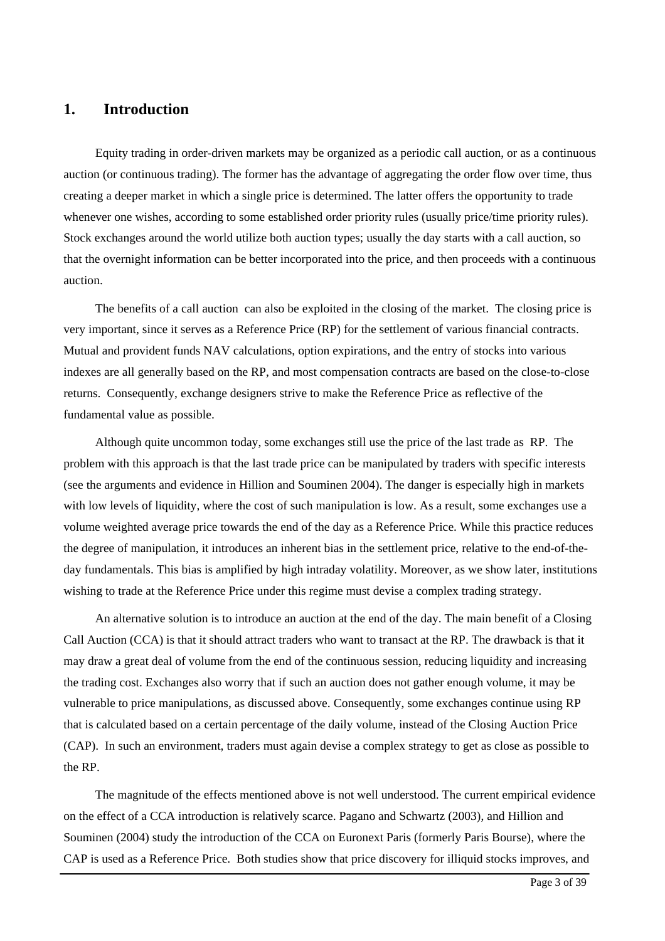# **1. Introduction**

Equity trading in order-driven markets may be organized as a periodic call auction, or as a continuous auction (or continuous trading). The former has the advantage of aggregating the order flow over time, thus creating a deeper market in which a single price is determined. The latter offers the opportunity to trade whenever one wishes, according to some established order priority rules (usually price/time priority rules). Stock exchanges around the world utilize both auction types; usually the day starts with a call auction, so that the overnight information can be better incorporated into the price, and then proceeds with a continuous auction.

The benefits of a call auction can also be exploited in the closing of the market. The closing price is very important, since it serves as a Reference Price (RP) for the settlement of various financial contracts. Mutual and provident funds NAV calculations, option expirations, and the entry of stocks into various indexes are all generally based on the RP, and most compensation contracts are based on the close-to-close returns. Consequently, exchange designers strive to make the Reference Price as reflective of the fundamental value as possible.

Although quite uncommon today, some exchanges still use the price of the last trade as RP. The problem with this approach is that the last trade price can be manipulated by traders with specific interests (see the arguments and evidence in Hillion and Souminen 2004). The danger is especially high in markets with low levels of liquidity, where the cost of such manipulation is low. As a result, some exchanges use a volume weighted average price towards the end of the day as a Reference Price. While this practice reduces the degree of manipulation, it introduces an inherent bias in the settlement price, relative to the end-of-theday fundamentals. This bias is amplified by high intraday volatility. Moreover, as we show later, institutions wishing to trade at the Reference Price under this regime must devise a complex trading strategy.

An alternative solution is to introduce an auction at the end of the day. The main benefit of a Closing Call Auction (CCA) is that it should attract traders who want to transact at the RP. The drawback is that it may draw a great deal of volume from the end of the continuous session, reducing liquidity and increasing the trading cost. Exchanges also worry that if such an auction does not gather enough volume, it may be vulnerable to price manipulations, as discussed above. Consequently, some exchanges continue using RP that is calculated based on a certain percentage of the daily volume, instead of the Closing Auction Price (CAP). In such an environment, traders must again devise a complex strategy to get as close as possible to the RP.

The magnitude of the effects mentioned above is not well understood. The current empirical evidence on the effect of a CCA introduction is relatively scarce. Pagano and Schwartz (2003), and Hillion and Souminen (2004) study the introduction of the CCA on Euronext Paris (formerly Paris Bourse), where the CAP is used as a Reference Price. Both studies show that price discovery for illiquid stocks improves, and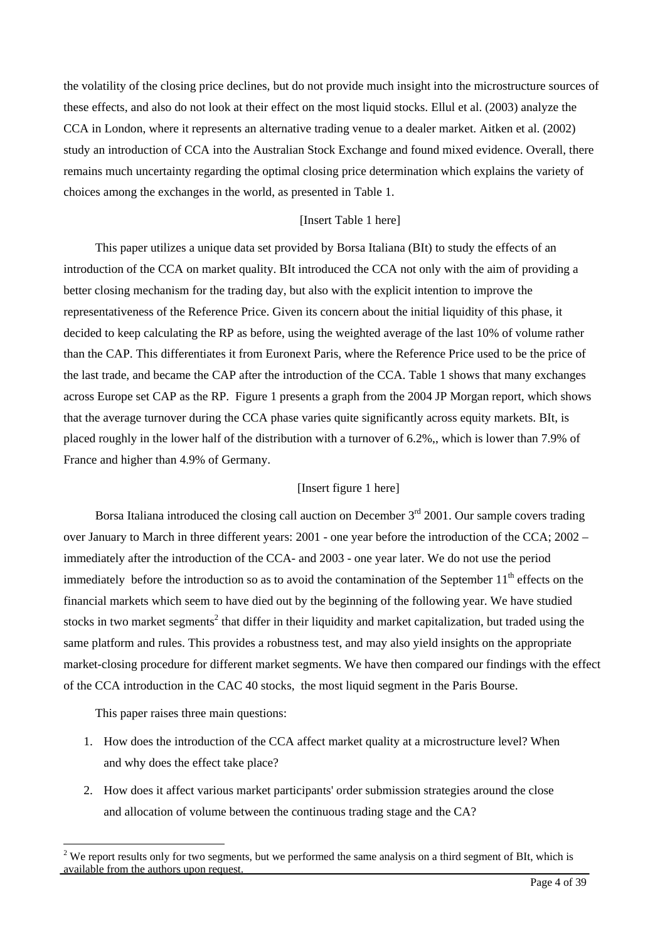the volatility of the closing price declines, but do not provide much insight into the microstructure sources of these effects, and also do not look at their effect on the most liquid stocks. Ellul et al. (2003) analyze the CCA in London, where it represents an alternative trading venue to a dealer market. Aitken et al. (2002) study an introduction of CCA into the Australian Stock Exchange and found mixed evidence. Overall, there remains much uncertainty regarding the optimal closing price determination which explains the variety of choices among the exchanges in the world, as presented in Table 1.

### [Insert Table 1 here]

This paper utilizes a unique data set provided by Borsa Italiana (BIt) to study the effects of an introduction of the CCA on market quality. BIt introduced the CCA not only with the aim of providing a better closing mechanism for the trading day, but also with the explicit intention to improve the representativeness of the Reference Price. Given its concern about the initial liquidity of this phase, it decided to keep calculating the RP as before, using the weighted average of the last 10% of volume rather than the CAP. This differentiates it from Euronext Paris, where the Reference Price used to be the price of the last trade, and became the CAP after the introduction of the CCA. Table 1 shows that many exchanges across Europe set CAP as the RP. Figure 1 presents a graph from the 2004 JP Morgan report, which shows that the average turnover during the CCA phase varies quite significantly across equity markets. BIt, is placed roughly in the lower half of the distribution with a turnover of 6.2%,, which is lower than 7.9% of France and higher than 4.9% of Germany.

# [Insert figure 1 here]

Borsa Italiana introduced the closing call auction on December  $3<sup>rd</sup>$  2001. Our sample covers trading over January to March in three different years: 2001 - one year before the introduction of the CCA; 2002 – immediately after the introduction of the CCA- and 2003 - one year later. We do not use the period immediately before the introduction so as to avoid the contamination of the September  $11<sup>th</sup>$  effects on the financial markets which seem to have died out by the beginning of the following year. We have studied stocks in two market segments<sup>[2](#page-2-0)</sup> that differ in their liquidity and market capitalization, but traded using the same platform and rules. This provides a robustness test, and may also yield insights on the appropriate market-closing procedure for different market segments. We have then compared our findings with the effect of the CCA introduction in the CAC 40 stocks, the most liquid segment in the Paris Bourse.

This paper raises three main questions:

 $\overline{a}$ 

- 1. How does the introduction of the CCA affect market quality at a microstructure level? When and why does the effect take place?
- 2. How does it affect various market participants' order submission strategies around the close and allocation of volume between the continuous trading stage and the CA?

<span id="page-2-0"></span> $2$  We report results only for two segments, but we performed the same analysis on a third segment of BIt, which is available from the authors upon request.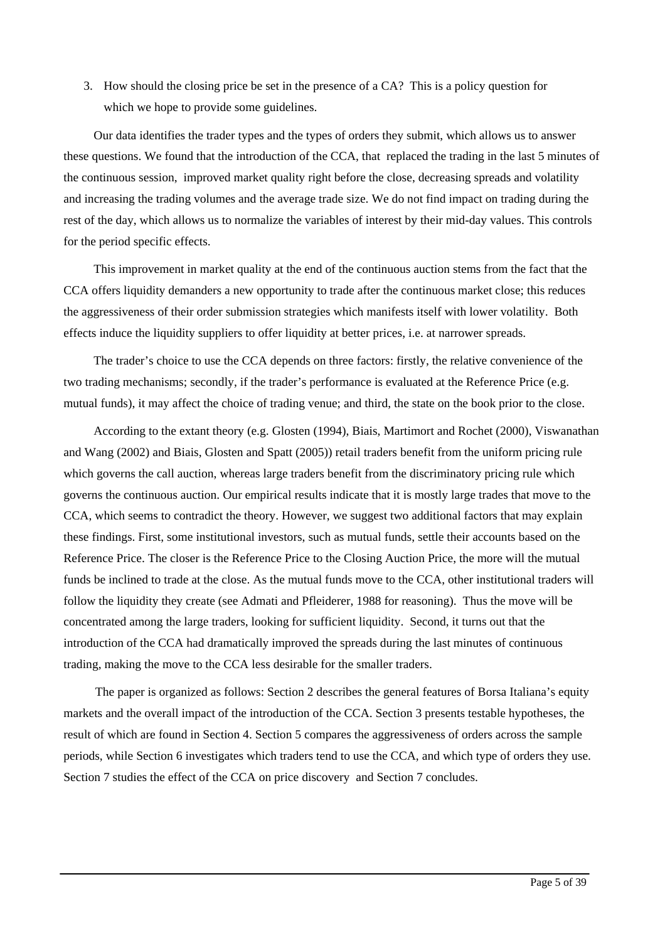3. How should the closing price be set in the presence of a CA? This is a policy question for which we hope to provide some guidelines.

Our data identifies the trader types and the types of orders they submit, which allows us to answer these questions. We found that the introduction of the CCA, that replaced the trading in the last 5 minutes of the continuous session, improved market quality right before the close, decreasing spreads and volatility and increasing the trading volumes and the average trade size. We do not find impact on trading during the rest of the day, which allows us to normalize the variables of interest by their mid-day values. This controls for the period specific effects.

This improvement in market quality at the end of the continuous auction stems from the fact that the CCA offers liquidity demanders a new opportunity to trade after the continuous market close; this reduces the aggressiveness of their order submission strategies which manifests itself with lower volatility. Both effects induce the liquidity suppliers to offer liquidity at better prices, i.e. at narrower spreads.

The trader's choice to use the CCA depends on three factors: firstly, the relative convenience of the two trading mechanisms; secondly, if the trader's performance is evaluated at the Reference Price (e.g. mutual funds), it may affect the choice of trading venue; and third, the state on the book prior to the close.

According to the extant theory (e.g. Glosten (1994), Biais, Martimort and Rochet (2000), Viswanathan and Wang (2002) and Biais, Glosten and Spatt (2005)) retail traders benefit from the uniform pricing rule which governs the call auction, whereas large traders benefit from the discriminatory pricing rule which governs the continuous auction. Our empirical results indicate that it is mostly large trades that move to the CCA, which seems to contradict the theory. However, we suggest two additional factors that may explain these findings. First, some institutional investors, such as mutual funds, settle their accounts based on the Reference Price. The closer is the Reference Price to the Closing Auction Price, the more will the mutual funds be inclined to trade at the close. As the mutual funds move to the CCA, other institutional traders will follow the liquidity they create (see Admati and Pfleiderer, 1988 for reasoning). Thus the move will be concentrated among the large traders, looking for sufficient liquidity. Second, it turns out that the introduction of the CCA had dramatically improved the spreads during the last minutes of continuous trading, making the move to the CCA less desirable for the smaller traders.

The paper is organized as follows: Section 2 describes the general features of Borsa Italiana's equity markets and the overall impact of the introduction of the CCA. Section 3 presents testable hypotheses, the result of which are found in Section 4. Section 5 compares the aggressiveness of orders across the sample periods, while Section 6 investigates which traders tend to use the CCA, and which type of orders they use. Section 7 studies the effect of the CCA on price discovery and Section 7 concludes.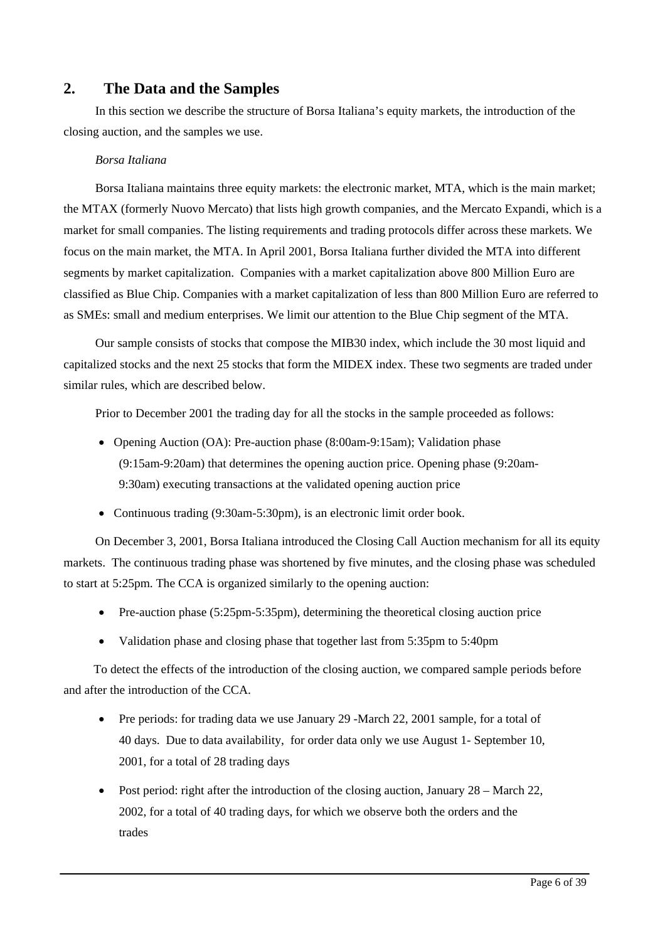# **2. The Data and the Samples**

In this section we describe the structure of Borsa Italiana's equity markets, the introduction of the closing auction, and the samples we use.

# *Borsa Italiana*

Borsa Italiana maintains three equity markets: the electronic market, MTA, which is the main market; the MTAX (formerly Nuovo Mercato) that lists high growth companies, and the Mercato Expandi, which is a market for small companies. The listing requirements and trading protocols differ across these markets. We focus on the main market, the MTA. In April 2001, Borsa Italiana further divided the MTA into different segments by market capitalization. Companies with a market capitalization above 800 Million Euro are classified as Blue Chip. Companies with a market capitalization of less than 800 Million Euro are referred to as SMEs: small and medium enterprises. We limit our attention to the Blue Chip segment of the MTA.

Our sample consists of stocks that compose the MIB30 index, which include the 30 most liquid and capitalized stocks and the next 25 stocks that form the MIDEX index. These two segments are traded under similar rules, which are described below.

Prior to December 2001 the trading day for all the stocks in the sample proceeded as follows:

- Opening Auction (OA): Pre-auction phase (8:00am-9:15am); Validation phase (9:15am-9:20am) that determines the opening auction price. Opening phase (9:20am-9:30am) executing transactions at the validated opening auction price
- Continuous trading (9:30am-5:30pm), is an electronic limit order book.

On December 3, 2001, Borsa Italiana introduced the Closing Call Auction mechanism for all its equity markets. The continuous trading phase was shortened by five minutes, and the closing phase was scheduled to start at 5:25pm. The CCA is organized similarly to the opening auction:

- Pre-auction phase (5:25pm-5:35pm), determining the theoretical closing auction price
- Validation phase and closing phase that together last from 5:35pm to 5:40pm

To detect the effects of the introduction of the closing auction, we compared sample periods before and after the introduction of the CCA.

- Pre periods: for trading data we use January 29 -March 22, 2001 sample, for a total of 40 days. Due to data availability, for order data only we use August 1- September 10, 2001, for a total of 28 trading days
- Post period: right after the introduction of the closing auction, January  $28 -$ March  $22$ , 2002, for a total of 40 trading days, for which we observe both the orders and the trades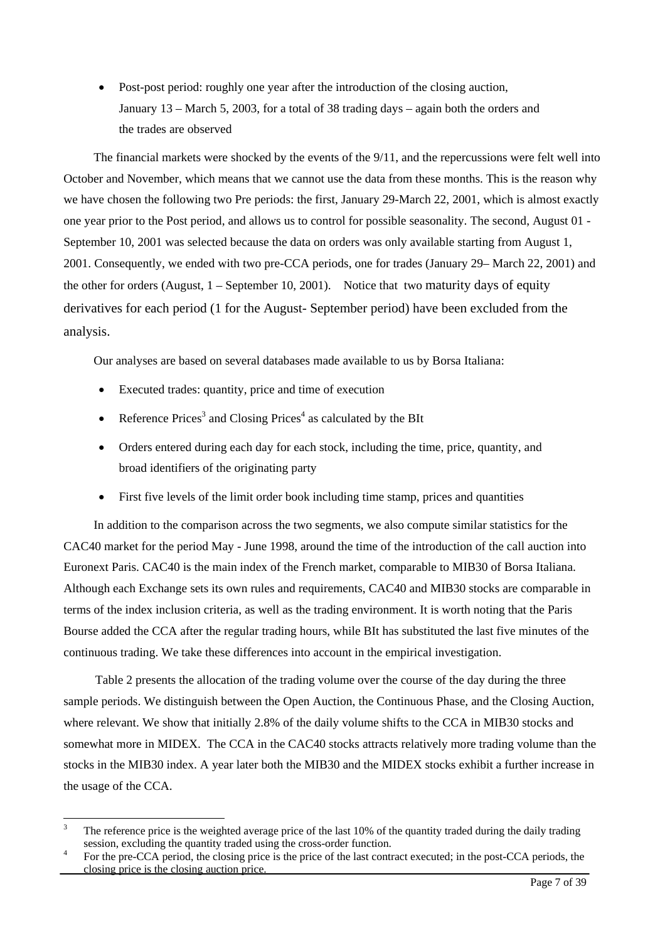• Post-post period: roughly one year after the introduction of the closing auction, January 13 – March 5, 2003, for a total of 38 trading days – again both the orders and the trades are observed

The financial markets were shocked by the events of the 9/11, and the repercussions were felt well into October and November, which means that we cannot use the data from these months. This is the reason why we have chosen the following two Pre periods: the first, January 29-March 22, 2001, which is almost exactly one year prior to the Post period, and allows us to control for possible seasonality. The second, August 01 - September 10, 2001 was selected because the data on orders was only available starting from August 1, 2001. Consequently, we ended with two pre-CCA periods, one for trades (January 29– March 22, 2001) and the other for orders (August,  $1 -$  September 10, 2001). Notice that two maturity days of equity derivatives for each period (1 for the August- September period) have been excluded from the analysis.

Our analyses are based on several databases made available to us by Borsa Italiana:

- Executed trades: quantity, price and time of execution
- Reference Prices<sup>3</sup> [a](#page-5-0)nd Closing Prices<sup>[4](#page-5-1)</sup> as calculated by the BIt
- Orders entered during each day for each stock, including the time, price, quantity, and broad identifiers of the originating party
- First five levels of the limit order book including time stamp, prices and quantities

In addition to the comparison across the two segments, we also compute similar statistics for the CAC40 market for the period May - June 1998, around the time of the introduction of the call auction into Euronext Paris. CAC40 is the main index of the French market, comparable to MIB30 of Borsa Italiana. Although each Exchange sets its own rules and requirements, CAC40 and MIB30 stocks are comparable in terms of the index inclusion criteria, as well as the trading environment. It is worth noting that the Paris Bourse added the CCA after the regular trading hours, while BIt has substituted the last five minutes of the continuous trading. We take these differences into account in the empirical investigation.

Table 2 presents the allocation of the trading volume over the course of the day during the three sample periods. We distinguish between the Open Auction, the Continuous Phase, and the Closing Auction, where relevant. We show that initially 2.8% of the daily volume shifts to the CCA in MIB30 stocks and somewhat more in MIDEX. The CCA in the CAC40 stocks attracts relatively more trading volume than the stocks in the MIB30 index. A year later both the MIB30 and the MIDEX stocks exhibit a further increase in the usage of the CCA.

<span id="page-5-0"></span> 3 The reference price is the weighted average price of the last 10% of the quantity traded during the daily trading session, excluding the quantity traded using the cross-order function.

<span id="page-5-1"></span>For the pre-CCA period, the closing price is the price of the last contract executed; in the post-CCA periods, the closing price is the closing auction price.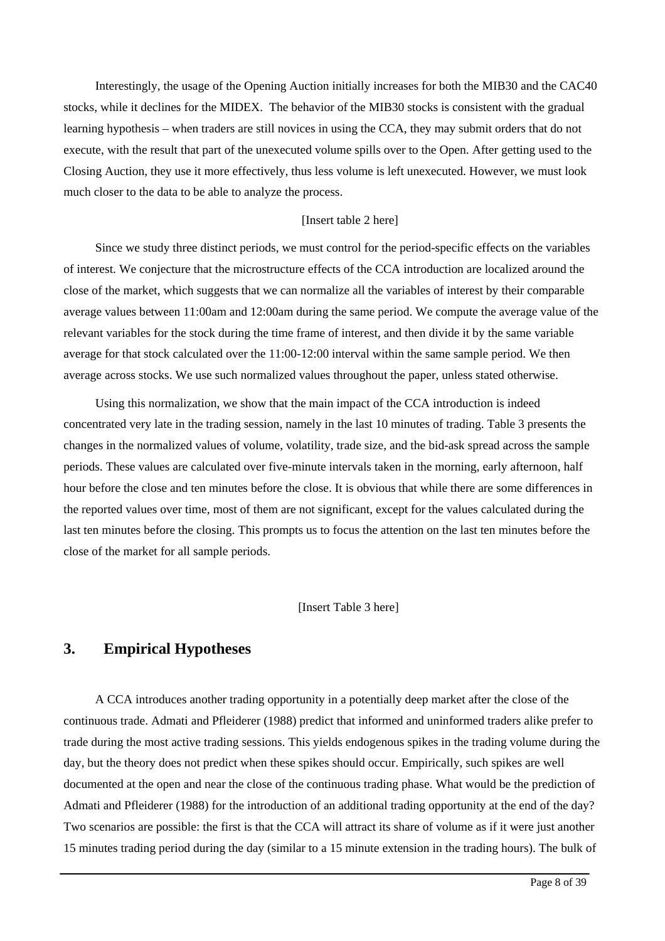Interestingly, the usage of the Opening Auction initially increases for both the MIB30 and the CAC40 stocks, while it declines for the MIDEX. The behavior of the MIB30 stocks is consistent with the gradual learning hypothesis – when traders are still novices in using the CCA, they may submit orders that do not execute, with the result that part of the unexecuted volume spills over to the Open. After getting used to the Closing Auction, they use it more effectively, thus less volume is left unexecuted. However, we must look much closer to the data to be able to analyze the process.

#### [Insert table 2 here]

Since we study three distinct periods, we must control for the period-specific effects on the variables of interest. We conjecture that the microstructure effects of the CCA introduction are localized around the close of the market, which suggests that we can normalize all the variables of interest by their comparable average values between 11:00am and 12:00am during the same period. We compute the average value of the relevant variables for the stock during the time frame of interest, and then divide it by the same variable average for that stock calculated over the 11:00-12:00 interval within the same sample period. We then average across stocks. We use such normalized values throughout the paper, unless stated otherwise.

Using this normalization, we show that the main impact of the CCA introduction is indeed concentrated very late in the trading session, namely in the last 10 minutes of trading. Table 3 presents the changes in the normalized values of volume, volatility, trade size, and the bid-ask spread across the sample periods. These values are calculated over five-minute intervals taken in the morning, early afternoon, half hour before the close and ten minutes before the close. It is obvious that while there are some differences in the reported values over time, most of them are not significant, except for the values calculated during the last ten minutes before the closing. This prompts us to focus the attention on the last ten minutes before the close of the market for all sample periods.

[Insert Table 3 here]

# **3. Empirical Hypotheses**

A CCA introduces another trading opportunity in a potentially deep market after the close of the continuous trade. Admati and Pfleiderer (1988) predict that informed and uninformed traders alike prefer to trade during the most active trading sessions. This yields endogenous spikes in the trading volume during the day, but the theory does not predict when these spikes should occur. Empirically, such spikes are well documented at the open and near the close of the continuous trading phase. What would be the prediction of Admati and Pfleiderer (1988) for the introduction of an additional trading opportunity at the end of the day? Two scenarios are possible: the first is that the CCA will attract its share of volume as if it were just another 15 minutes trading period during the day (similar to a 15 minute extension in the trading hours). The bulk of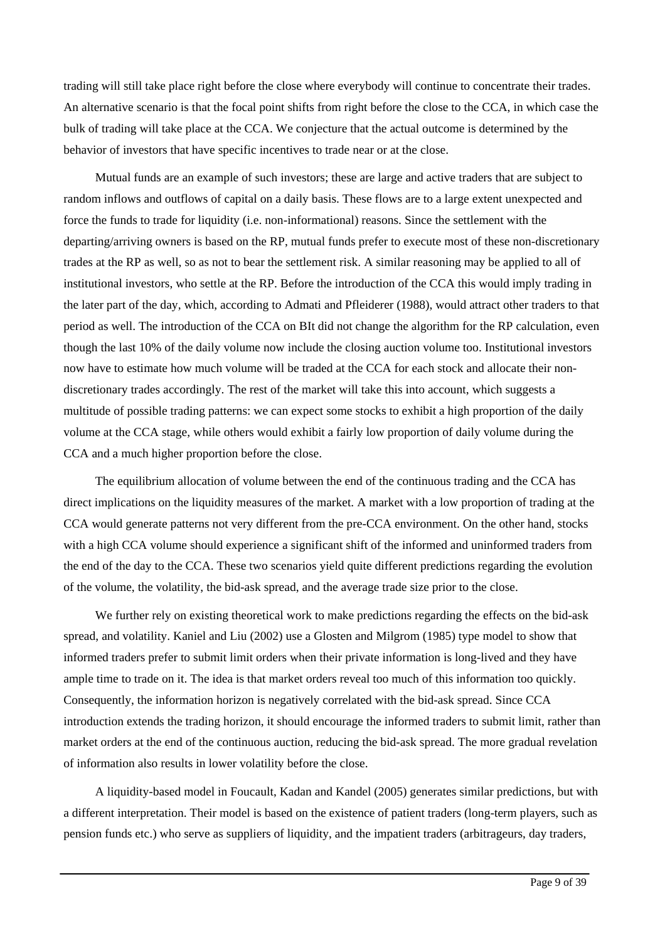trading will still take place right before the close where everybody will continue to concentrate their trades. An alternative scenario is that the focal point shifts from right before the close to the CCA, in which case the bulk of trading will take place at the CCA. We conjecture that the actual outcome is determined by the behavior of investors that have specific incentives to trade near or at the close.

Mutual funds are an example of such investors; these are large and active traders that are subject to random inflows and outflows of capital on a daily basis. These flows are to a large extent unexpected and force the funds to trade for liquidity (i.e. non-informational) reasons. Since the settlement with the departing/arriving owners is based on the RP, mutual funds prefer to execute most of these non-discretionary trades at the RP as well, so as not to bear the settlement risk. A similar reasoning may be applied to all of institutional investors, who settle at the RP. Before the introduction of the CCA this would imply trading in the later part of the day, which, according to Admati and Pfleiderer (1988), would attract other traders to that period as well. The introduction of the CCA on BIt did not change the algorithm for the RP calculation, even though the last 10% of the daily volume now include the closing auction volume too. Institutional investors now have to estimate how much volume will be traded at the CCA for each stock and allocate their nondiscretionary trades accordingly. The rest of the market will take this into account, which suggests a multitude of possible trading patterns: we can expect some stocks to exhibit a high proportion of the daily volume at the CCA stage, while others would exhibit a fairly low proportion of daily volume during the CCA and a much higher proportion before the close.

The equilibrium allocation of volume between the end of the continuous trading and the CCA has direct implications on the liquidity measures of the market. A market with a low proportion of trading at the CCA would generate patterns not very different from the pre-CCA environment. On the other hand, stocks with a high CCA volume should experience a significant shift of the informed and uninformed traders from the end of the day to the CCA. These two scenarios yield quite different predictions regarding the evolution of the volume, the volatility, the bid-ask spread, and the average trade size prior to the close.

We further rely on existing theoretical work to make predictions regarding the effects on the bid-ask spread, and volatility. Kaniel and Liu (2002) use a Glosten and Milgrom (1985) type model to show that informed traders prefer to submit limit orders when their private information is long-lived and they have ample time to trade on it. The idea is that market orders reveal too much of this information too quickly. Consequently, the information horizon is negatively correlated with the bid-ask spread. Since CCA introduction extends the trading horizon, it should encourage the informed traders to submit limit, rather than market orders at the end of the continuous auction, reducing the bid-ask spread. The more gradual revelation of information also results in lower volatility before the close.

A liquidity-based model in Foucault, Kadan and Kandel (2005) generates similar predictions, but with a different interpretation. Their model is based on the existence of patient traders (long-term players, such as pension funds etc.) who serve as suppliers of liquidity, and the impatient traders (arbitrageurs, day traders,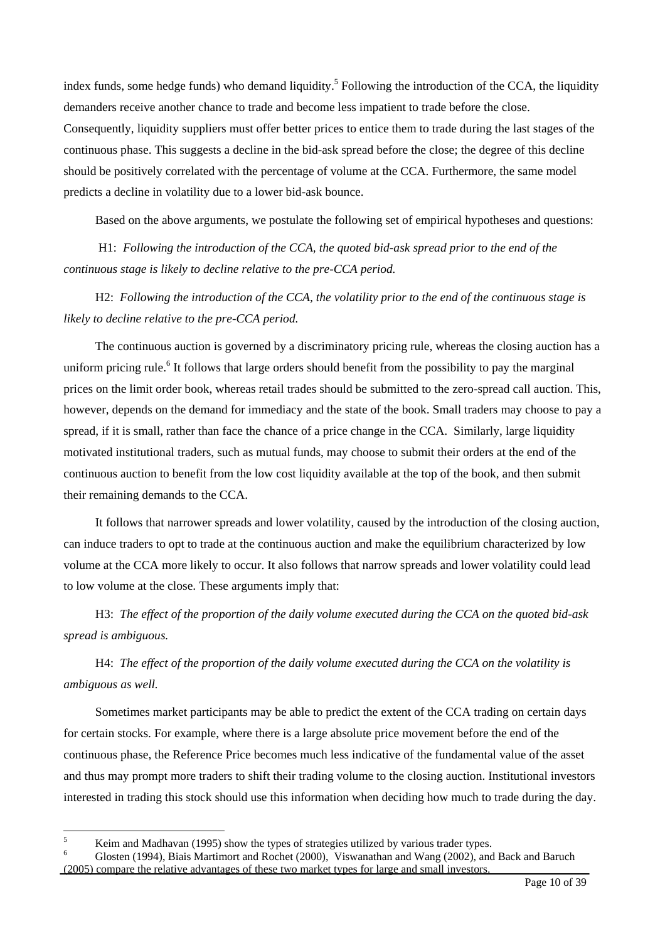index funds, some hedge funds) who demand liquidity.<sup>5</sup> Following the introduction of the CCA, the liquidity demanders receive another chance to trade and become less impatient to trade before the close. Consequently, liquidity suppliers must offer better prices to entice them to trade during the last stages of the continuous phase. This suggests a decline in the bid-ask spread before the close; the degree of this decline should be positively correlated with the percentage of volume at the CCA. Furthermore, the same model predicts a decline in volatility due to a lower bid-ask bounce.

Based on the above arguments, we postulate the following set of empirical hypotheses and questions:

 H1: *Following the introduction of the CCA, the quoted bid-ask spread prior to the end of the continuous stage is likely to decline relative to the pre-CCA period.* 

H2: *Following the introduction of the CCA, the volatility prior to the end of the continuous stage is likely to decline relative to the pre-CCA period.* 

The continuous auction is governed by a discriminatory pricing rule, whereas the closing auction has a uniform pricing rule.<sup>6</sup> It follows that large orders should benefit from the possibility to pay the marginal prices on the limit order book, whereas retail trades should be submitted to the zero-spread call auction. This, however, depends on the demand for immediacy and the state of the book. Small traders may choose to pay a spread, if it is small, rather than face the chance of a price change in the CCA. Similarly, large liquidity motivated institutional traders, such as mutual funds, may choose to submit their orders at the end of the continuous auction to benefit from the low cost liquidity available at the top of the book, and then submit their remaining demands to the CCA.

It follows that narrower spreads and lower volatility, caused by the introduction of the closing auction, can induce traders to opt to trade at the continuous auction and make the equilibrium characterized by low volume at the CCA more likely to occur. It also follows that narrow spreads and lower volatility could lead to low volume at the close. These arguments imply that:

H3: *The effect of the proportion of the daily volume executed during the CCA on the quoted bid-ask spread is ambiguous.* 

H4: *The effect of the proportion of the daily volume executed during the CCA on the volatility is ambiguous as well.* 

Sometimes market participants may be able to predict the extent of the CCA trading on certain days for certain stocks. For example, where there is a large absolute price movement before the end of the continuous phase, the Reference Price becomes much less indicative of the fundamental value of the asset and thus may prompt more traders to shift their trading volume to the closing auction. Institutional investors interested in trading this stock should use this information when deciding how much to trade during the day.

<span id="page-8-0"></span> 5 Equal Madhavan (1995) show the types of strategies utilized by various trader types.<br>  $\frac{6}{2}$  Clarent (1994)  $\frac{1}{2}$  Clarent Marinus trade Disclant (2000). We need to get Ware (2002) and

<span id="page-8-1"></span>Glosten (1994), Biais Martimort and Rochet (2000), Viswanathan and Wang (2002), and Back and Baruch (2005) compare the relative advantages of these two market types for large and small investors.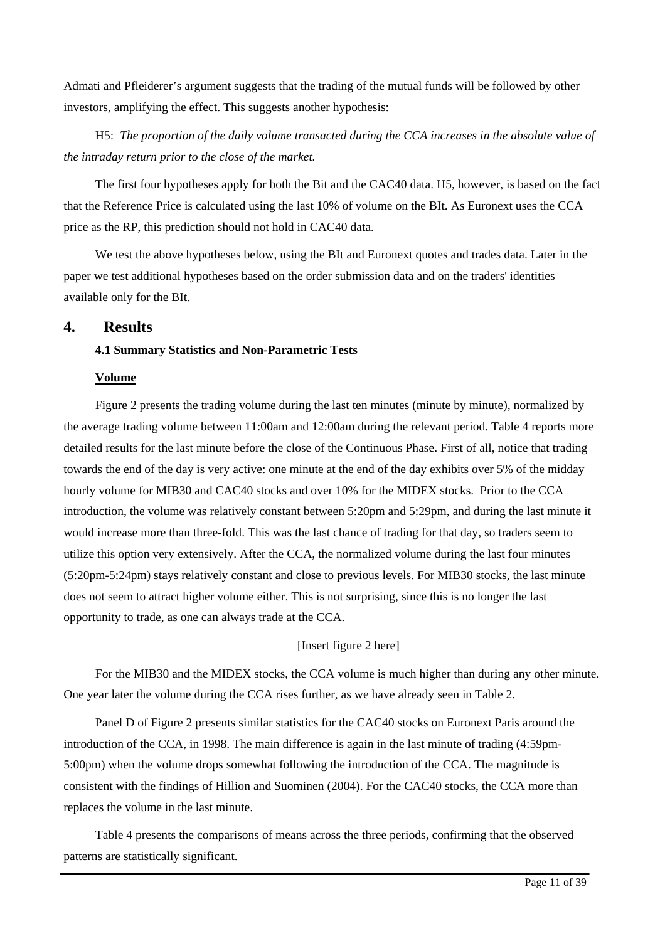Admati and Pfleiderer's argument suggests that the trading of the mutual funds will be followed by other investors, amplifying the effect. This suggests another hypothesis:

H5: *The proportion of the daily volume transacted during the CCA increases in the absolute value of the intraday return prior to the close of the market.* 

The first four hypotheses apply for both the Bit and the CAC40 data. H5, however, is based on the fact that the Reference Price is calculated using the last 10% of volume on the BIt. As Euronext uses the CCA price as the RP, this prediction should not hold in CAC40 data.

We test the above hypotheses below, using the BIt and Euronext quotes and trades data. Later in the paper we test additional hypotheses based on the order submission data and on the traders' identities available only for the BIt.

# **4. Results**

# **4.1 Summary Statistics and Non-Parametric Tests**

### **Volume**

Figure 2 presents the trading volume during the last ten minutes (minute by minute), normalized by the average trading volume between 11:00am and 12:00am during the relevant period. Table 4 reports more detailed results for the last minute before the close of the Continuous Phase. First of all, notice that trading towards the end of the day is very active: one minute at the end of the day exhibits over 5% of the midday hourly volume for MIB30 and CAC40 stocks and over 10% for the MIDEX stocks. Prior to the CCA introduction, the volume was relatively constant between 5:20pm and 5:29pm, and during the last minute it would increase more than three-fold. This was the last chance of trading for that day, so traders seem to utilize this option very extensively. After the CCA, the normalized volume during the last four minutes (5:20pm-5:24pm) stays relatively constant and close to previous levels. For MIB30 stocks, the last minute does not seem to attract higher volume either. This is not surprising, since this is no longer the last opportunity to trade, as one can always trade at the CCA.

# [Insert figure 2 here]

For the MIB30 and the MIDEX stocks, the CCA volume is much higher than during any other minute. One year later the volume during the CCA rises further, as we have already seen in Table 2.

Panel D of Figure 2 presents similar statistics for the CAC40 stocks on Euronext Paris around the introduction of the CCA, in 1998. The main difference is again in the last minute of trading (4:59pm-5:00pm) when the volume drops somewhat following the introduction of the CCA. The magnitude is consistent with the findings of Hillion and Suominen (2004). For the CAC40 stocks, the CCA more than replaces the volume in the last minute.

Table 4 presents the comparisons of means across the three periods, confirming that the observed patterns are statistically significant.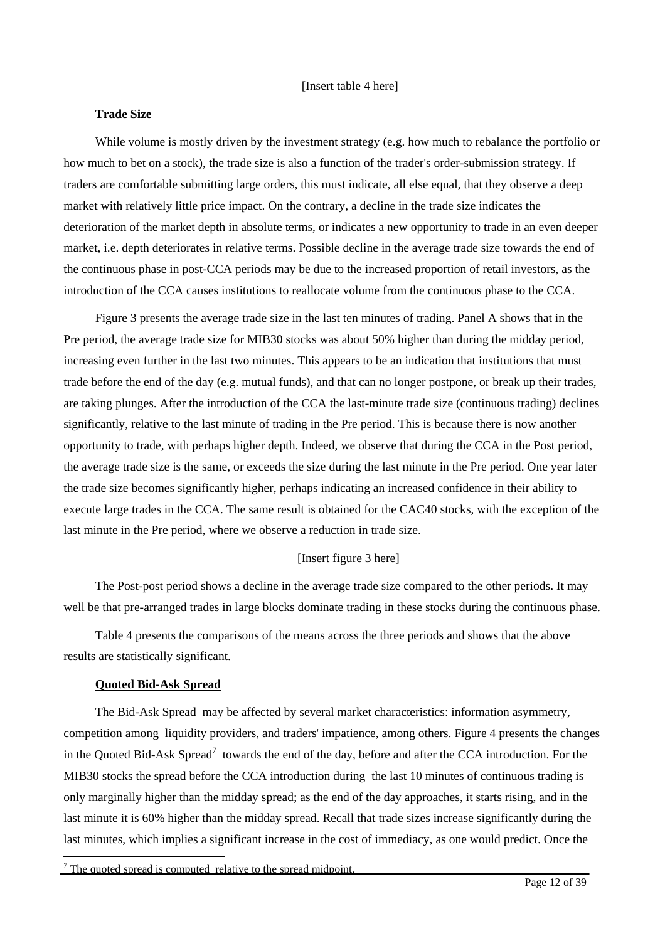#### **Trade Size**

While volume is mostly driven by the investment strategy (e.g. how much to rebalance the portfolio or how much to bet on a stock), the trade size is also a function of the trader's order-submission strategy. If traders are comfortable submitting large orders, this must indicate, all else equal, that they observe a deep market with relatively little price impact. On the contrary, a decline in the trade size indicates the deterioration of the market depth in absolute terms, or indicates a new opportunity to trade in an even deeper market, i.e. depth deteriorates in relative terms. Possible decline in the average trade size towards the end of the continuous phase in post-CCA periods may be due to the increased proportion of retail investors, as the introduction of the CCA causes institutions to reallocate volume from the continuous phase to the CCA.

Figure 3 presents the average trade size in the last ten minutes of trading. Panel A shows that in the Pre period, the average trade size for MIB30 stocks was about 50% higher than during the midday period, increasing even further in the last two minutes. This appears to be an indication that institutions that must trade before the end of the day (e.g. mutual funds), and that can no longer postpone, or break up their trades, are taking plunges. After the introduction of the CCA the last-minute trade size (continuous trading) declines significantly, relative to the last minute of trading in the Pre period. This is because there is now another opportunity to trade, with perhaps higher depth. Indeed, we observe that during the CCA in the Post period, the average trade size is the same, or exceeds the size during the last minute in the Pre period. One year later the trade size becomes significantly higher, perhaps indicating an increased confidence in their ability to execute large trades in the CCA. The same result is obtained for the CAC40 stocks, with the exception of the last minute in the Pre period, where we observe a reduction in trade size.

# [Insert figure 3 here]

The Post-post period shows a decline in the average trade size compared to the other periods. It may well be that pre-arranged trades in large blocks dominate trading in these stocks during the continuous phase.

Table 4 presents the comparisons of the means across the three periods and shows that the above results are statistically significant.

#### **Quoted Bid-Ask Spread**

 $\overline{a}$ 

The Bid-Ask Spread may be affected by several market characteristics: information asymmetry, competition among liquidity providers, and traders' impatience, among others. Figure 4 presents the changes inthe Quoted Bid-Ask Spread<sup>7</sup> towards the end of the day, before and after the CCA introduction. For the MIB30 stocks the spread before the CCA introduction during the last 10 minutes of continuous trading is only marginally higher than the midday spread; as the end of the day approaches, it starts rising, and in the last minute it is 60% higher than the midday spread. Recall that trade sizes increase significantly during the last minutes, which implies a significant increase in the cost of immediacy, as one would predict. Once the

<span id="page-10-0"></span> $<sup>7</sup>$  The quoted spread is computed relative to the spread midpoint.</sup>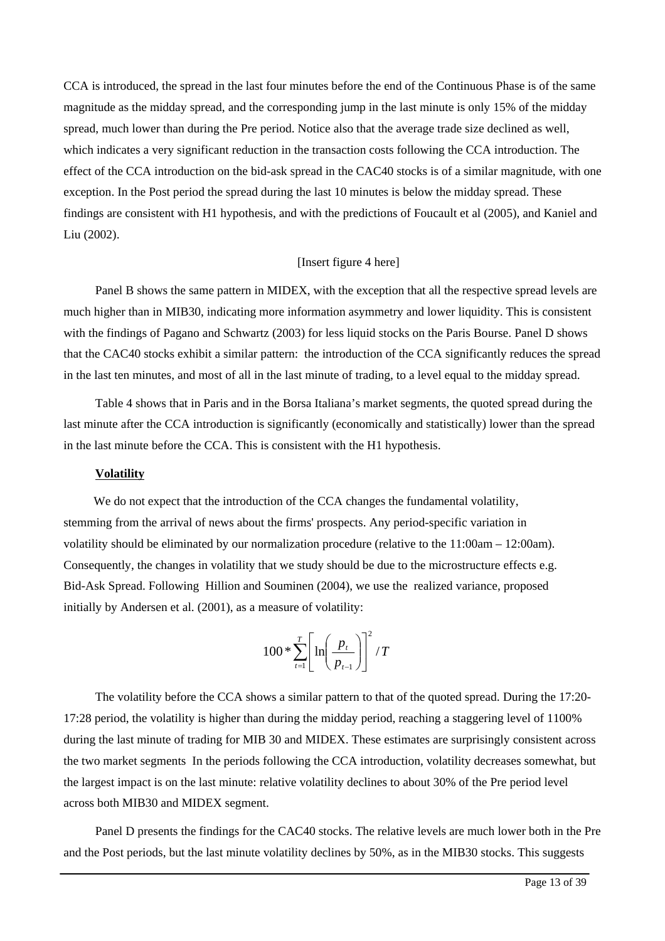CCA is introduced, the spread in the last four minutes before the end of the Continuous Phase is of the same magnitude as the midday spread, and the corresponding jump in the last minute is only 15% of the midday spread, much lower than during the Pre period. Notice also that the average trade size declined as well, which indicates a very significant reduction in the transaction costs following the CCA introduction. The effect of the CCA introduction on the bid-ask spread in the CAC40 stocks is of a similar magnitude, with one exception. In the Post period the spread during the last 10 minutes is below the midday spread. These findings are consistent with H1 hypothesis, and with the predictions of Foucault et al (2005), and Kaniel and Liu (2002).

# [Insert figure 4 here]

Panel B shows the same pattern in MIDEX, with the exception that all the respective spread levels are much higher than in MIB30, indicating more information asymmetry and lower liquidity. This is consistent with the findings of Pagano and Schwartz (2003) for less liquid stocks on the Paris Bourse. Panel D shows that the CAC40 stocks exhibit a similar pattern: the introduction of the CCA significantly reduces the spread in the last ten minutes, and most of all in the last minute of trading, to a level equal to the midday spread.

Table 4 shows that in Paris and in the Borsa Italiana's market segments, the quoted spread during the last minute after the CCA introduction is significantly (economically and statistically) lower than the spread in the last minute before the CCA. This is consistent with the H1 hypothesis.

#### **Volatility**

We do not expect that the introduction of the CCA changes the fundamental volatility, stemming from the arrival of news about the firms' prospects. Any period-specific variation in volatility should be eliminated by our normalization procedure (relative to the 11:00am – 12:00am). Consequently, the changes in volatility that we study should be due to the microstructure effects e.g. Bid-Ask Spread. Following Hillion and Souminen (2004), we use the realized variance, proposed initially by Andersen et al. (2001), as a measure of volatility:

$$
100 * \sum_{t=1}^{T} \left[ \ln \left( \frac{p_t}{p_{t-1}} \right) \right]^2 / T
$$

The volatility before the CCA shows a similar pattern to that of the quoted spread. During the 17:20- 17:28 period, the volatility is higher than during the midday period, reaching a staggering level of 1100% during the last minute of trading for MIB 30 and MIDEX. These estimates are surprisingly consistent across the two market segments In the periods following the CCA introduction, volatility decreases somewhat, but the largest impact is on the last minute: relative volatility declines to about 30% of the Pre period level across both MIB30 and MIDEX segment.

Panel D presents the findings for the CAC40 stocks. The relative levels are much lower both in the Pre and the Post periods, but the last minute volatility declines by 50%, as in the MIB30 stocks. This suggests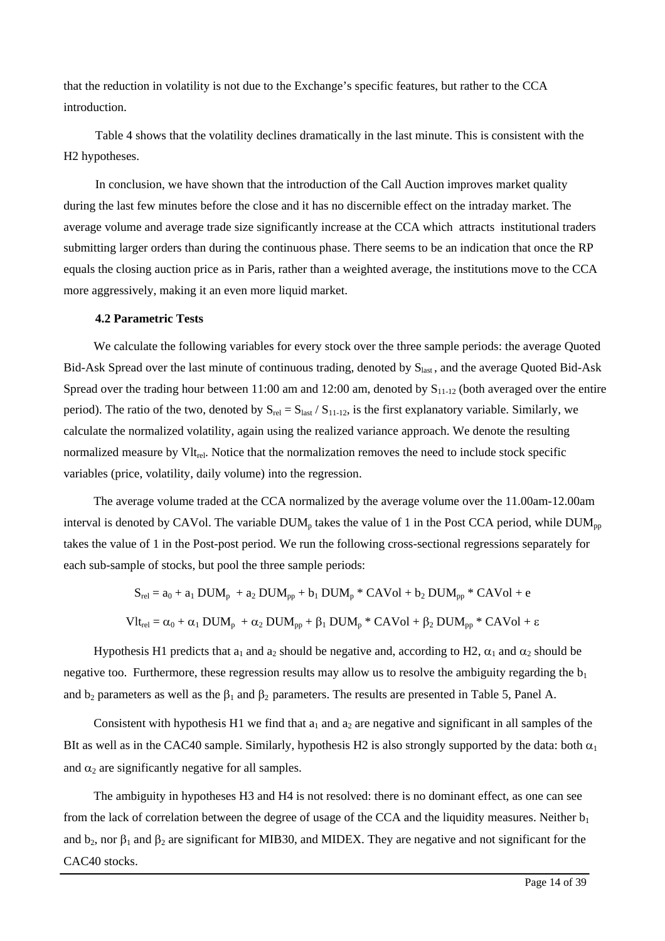that the reduction in volatility is not due to the Exchange's specific features, but rather to the CCA introduction.

Table 4 shows that the volatility declines dramatically in the last minute. This is consistent with the H2 hypotheses.

In conclusion, we have shown that the introduction of the Call Auction improves market quality during the last few minutes before the close and it has no discernible effect on the intraday market. The average volume and average trade size significantly increase at the CCA which attracts institutional traders submitting larger orders than during the continuous phase. There seems to be an indication that once the RP equals the closing auction price as in Paris, rather than a weighted average, the institutions move to the CCA more aggressively, making it an even more liquid market.

#### **4.2 Parametric Tests**

We calculate the following variables for every stock over the three sample periods: the average Quoted Bid-Ask Spread over the last minute of continuous trading, denoted by S<sub>last</sub>, and the average Quoted Bid-Ask Spread over the trading hour between 11:00 am and 12:00 am, denoted by  $S_{11-12}$  (both averaged over the entire period). The ratio of the two, denoted by  $S_{rel} = S_{last} / S_{11-12}$ , is the first explanatory variable. Similarly, we calculate the normalized volatility, again using the realized variance approach. We denote the resulting normalized measure by Vlt<sub>rel</sub>. Notice that the normalization removes the need to include stock specific variables (price, volatility, daily volume) into the regression.

The average volume traded at the CCA normalized by the average volume over the 11.00am-12.00am interval is denoted by CAVol. The variable  $DUM_p$  takes the value of 1 in the Post CCA period, while  $DUM_{pp}$ takes the value of 1 in the Post-post period. We run the following cross-sectional regressions separately for each sub-sample of stocks, but pool the three sample periods:

$$
S_{rel} = a_0 + a_1 DUM_p + a_2 DUM_{pp} + b_1 DUM_p * CAVol + b_2 DUM_{pp} * CAVol + e
$$
  

$$
Vlt_{rel} = \alpha_0 + \alpha_1 DUM_p + \alpha_2 DUM_{pp} + \beta_1 DUM_p * CAVol + \beta_2 DUM_{pp} * CAVol + \epsilon
$$

Hypothesis H1 predicts that  $a_1$  and  $a_2$  should be negative and, according to H2,  $\alpha_1$  and  $\alpha_2$  should be negative too. Furthermore, these regression results may allow us to resolve the ambiguity regarding the  $b<sub>1</sub>$ and  $b_2$  parameters as well as the  $\beta_1$  and  $\beta_2$  parameters. The results are presented in Table 5, Panel A.

Consistent with hypothesis H1 we find that  $a_1$  and  $a_2$  are negative and significant in all samples of the BIt as well as in the CAC40 sample. Similarly, hypothesis H2 is also strongly supported by the data: both  $\alpha_1$ and  $\alpha_2$  are significantly negative for all samples.

The ambiguity in hypotheses H3 and H4 is not resolved: there is no dominant effect, as one can see from the lack of correlation between the degree of usage of the CCA and the liquidity measures. Neither  $b_1$ and  $b_2$ , nor  $\beta_1$  and  $\beta_2$  are significant for MIB30, and MIDEX. They are negative and not significant for the CAC40 stocks.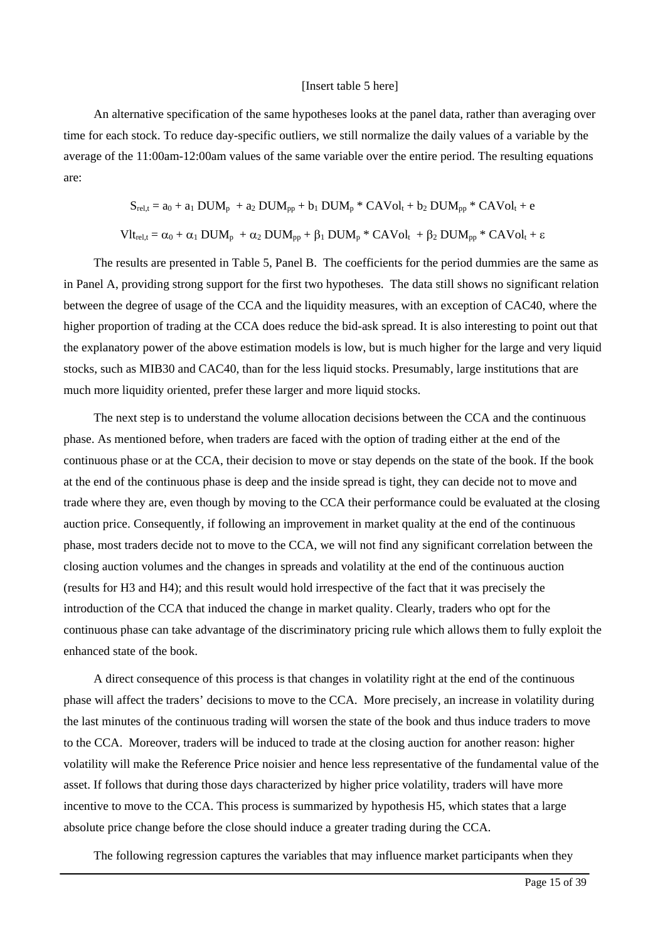#### [Insert table 5 here]

An alternative specification of the same hypotheses looks at the panel data, rather than averaging over time for each stock. To reduce day-specific outliers, we still normalize the daily values of a variable by the average of the 11:00am-12:00am values of the same variable over the entire period. The resulting equations are:

$$
S_{rel,t} = a_0 + a_1\text{ DUM}_p + a_2\text{ DUM}_{pp} + b_1\text{ DUM}_p * \text{CAVol}_t + b_2\text{ DUM}_{pp} * \text{CAVol}_t + e
$$
  

$$
\text{Vlt}_{rel,t} = \alpha_0 + \alpha_1\text{ DUM}_p + \alpha_2\text{ DUM}_{pp} + \beta_1\text{ DUM}_p * \text{CAVol}_t + \beta_2\text{ DUM}_{pp} * \text{CAVol}_t + \epsilon
$$

The results are presented in Table 5, Panel B. The coefficients for the period dummies are the same as in Panel A, providing strong support for the first two hypotheses. The data still shows no significant relation between the degree of usage of the CCA and the liquidity measures, with an exception of CAC40, where the higher proportion of trading at the CCA does reduce the bid-ask spread. It is also interesting to point out that the explanatory power of the above estimation models is low, but is much higher for the large and very liquid stocks, such as MIB30 and CAC40, than for the less liquid stocks. Presumably, large institutions that are much more liquidity oriented, prefer these larger and more liquid stocks.

The next step is to understand the volume allocation decisions between the CCA and the continuous phase. As mentioned before, when traders are faced with the option of trading either at the end of the continuous phase or at the CCA, their decision to move or stay depends on the state of the book. If the book at the end of the continuous phase is deep and the inside spread is tight, they can decide not to move and trade where they are, even though by moving to the CCA their performance could be evaluated at the closing auction price. Consequently, if following an improvement in market quality at the end of the continuous phase, most traders decide not to move to the CCA, we will not find any significant correlation between the closing auction volumes and the changes in spreads and volatility at the end of the continuous auction (results for H3 and H4); and this result would hold irrespective of the fact that it was precisely the introduction of the CCA that induced the change in market quality. Clearly, traders who opt for the continuous phase can take advantage of the discriminatory pricing rule which allows them to fully exploit the enhanced state of the book.

A direct consequence of this process is that changes in volatility right at the end of the continuous phase will affect the traders' decisions to move to the CCA. More precisely, an increase in volatility during the last minutes of the continuous trading will worsen the state of the book and thus induce traders to move to the CCA. Moreover, traders will be induced to trade at the closing auction for another reason: higher volatility will make the Reference Price noisier and hence less representative of the fundamental value of the asset. If follows that during those days characterized by higher price volatility, traders will have more incentive to move to the CCA. This process is summarized by hypothesis H5, which states that a large absolute price change before the close should induce a greater trading during the CCA.

The following regression captures the variables that may influence market participants when they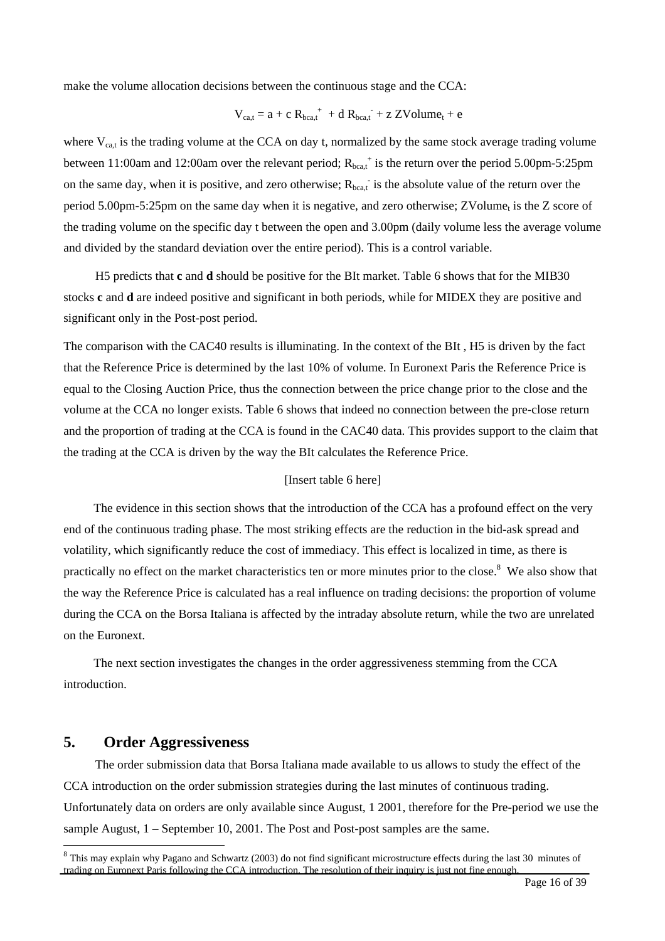make the volume allocation decisions between the continuous stage and the CCA:

$$
V_{ca,t} = a + c R_{bca,t}^{\text{+}} + d R_{bca,t}^{\text{+}} + z Z Volume_t + e
$$

where  $V_{cat}$  is the trading volume at the CCA on day t, normalized by the same stock average trading volume between 11:00am and 12:00am over the relevant period;  $R_{bca,t}$ <sup>+</sup> is the return over the period 5.00pm-5:25pm on the same day, when it is positive, and zero otherwise;  $R_{\text{beat}}$  is the absolute value of the return over the period 5.00pm-5:25pm on the same day when it is negative, and zero otherwise; ZVolume<sub>t</sub> is the Z score of the trading volume on the specific day t between the open and 3.00pm (daily volume less the average volume and divided by the standard deviation over the entire period). This is a control variable.

H5 predicts that **c** and **d** should be positive for the BIt market. Table 6 shows that for the MIB30 stocks **c** and **d** are indeed positive and significant in both periods, while for MIDEX they are positive and significant only in the Post-post period.

The comparison with the CAC40 results is illuminating. In the context of the BIt , H5 is driven by the fact that the Reference Price is determined by the last 10% of volume. In Euronext Paris the Reference Price is equal to the Closing Auction Price, thus the connection between the price change prior to the close and the volume at the CCA no longer exists. Table 6 shows that indeed no connection between the pre-close return and the proportion of trading at the CCA is found in the CAC40 data. This provides support to the claim that the trading at the CCA is driven by the way the BIt calculates the Reference Price.

#### [Insert table 6 here]

The evidence in this section shows that the introduction of the CCA has a profound effect on the very end of the continuous trading phase. The most striking effects are the reduction in the bid-ask spread and volatility, which significantly reduce the cost of immediacy. This effect is localized in time, as there is practically no effect on the market characteristics ten or more minutes prior to the close.<sup>[8](#page-14-0)</sup> We also show that the way the Reference Price is calculated has a real influence on trading decisions: the proportion of volume during the CCA on the Borsa Italiana is affected by the intraday absolute return, while the two are unrelated on the Euronext.

The next section investigates the changes in the order aggressiveness stemming from the CCA introduction.

# **5. Order Aggressiveness**

 $\overline{a}$ 

The order submission data that Borsa Italiana made available to us allows to study the effect of the CCA introduction on the order submission strategies during the last minutes of continuous trading. Unfortunately data on orders are only available since August, 1 2001, therefore for the Pre-period we use the sample August, 1 – September 10, 2001. The Post and Post-post samples are the same.

<span id="page-14-0"></span><sup>&</sup>lt;sup>8</sup> This may explain why Pagano and Schwartz (2003) do not find significant microstructure effects during the last 30 minutes of trading on Euronext Paris following the CCA introduction. The resolution of their inquiry is just not fine enough.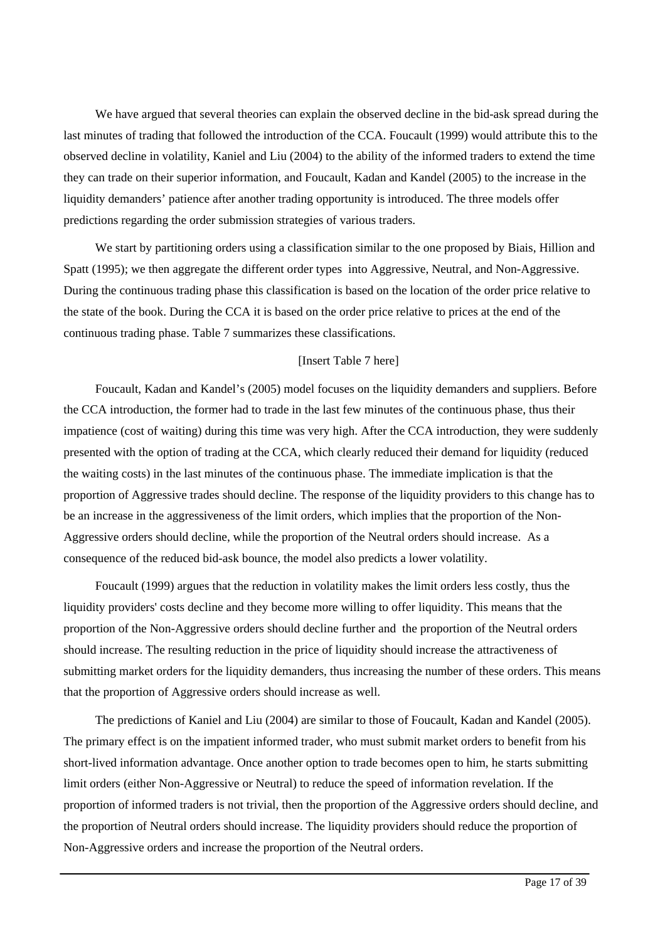We have argued that several theories can explain the observed decline in the bid-ask spread during the last minutes of trading that followed the introduction of the CCA. Foucault (1999) would attribute this to the observed decline in volatility, Kaniel and Liu (2004) to the ability of the informed traders to extend the time they can trade on their superior information, and Foucault, Kadan and Kandel (2005) to the increase in the liquidity demanders' patience after another trading opportunity is introduced. The three models offer predictions regarding the order submission strategies of various traders.

We start by partitioning orders using a classification similar to the one proposed by Biais, Hillion and Spatt (1995); we then aggregate the different order types into Aggressive, Neutral, and Non-Aggressive. During the continuous trading phase this classification is based on the location of the order price relative to the state of the book. During the CCA it is based on the order price relative to prices at the end of the continuous trading phase. Table 7 summarizes these classifications.

## [Insert Table 7 here]

Foucault, Kadan and Kandel's (2005) model focuses on the liquidity demanders and suppliers. Before the CCA introduction, the former had to trade in the last few minutes of the continuous phase, thus their impatience (cost of waiting) during this time was very high. After the CCA introduction, they were suddenly presented with the option of trading at the CCA, which clearly reduced their demand for liquidity (reduced the waiting costs) in the last minutes of the continuous phase. The immediate implication is that the proportion of Aggressive trades should decline. The response of the liquidity providers to this change has to be an increase in the aggressiveness of the limit orders, which implies that the proportion of the Non-Aggressive orders should decline, while the proportion of the Neutral orders should increase. As a consequence of the reduced bid-ask bounce, the model also predicts a lower volatility.

Foucault (1999) argues that the reduction in volatility makes the limit orders less costly, thus the liquidity providers' costs decline and they become more willing to offer liquidity. This means that the proportion of the Non-Aggressive orders should decline further and the proportion of the Neutral orders should increase. The resulting reduction in the price of liquidity should increase the attractiveness of submitting market orders for the liquidity demanders, thus increasing the number of these orders. This means that the proportion of Aggressive orders should increase as well.

The predictions of Kaniel and Liu (2004) are similar to those of Foucault, Kadan and Kandel (2005). The primary effect is on the impatient informed trader, who must submit market orders to benefit from his short-lived information advantage. Once another option to trade becomes open to him, he starts submitting limit orders (either Non-Aggressive or Neutral) to reduce the speed of information revelation. If the proportion of informed traders is not trivial, then the proportion of the Aggressive orders should decline, and the proportion of Neutral orders should increase. The liquidity providers should reduce the proportion of Non-Aggressive orders and increase the proportion of the Neutral orders.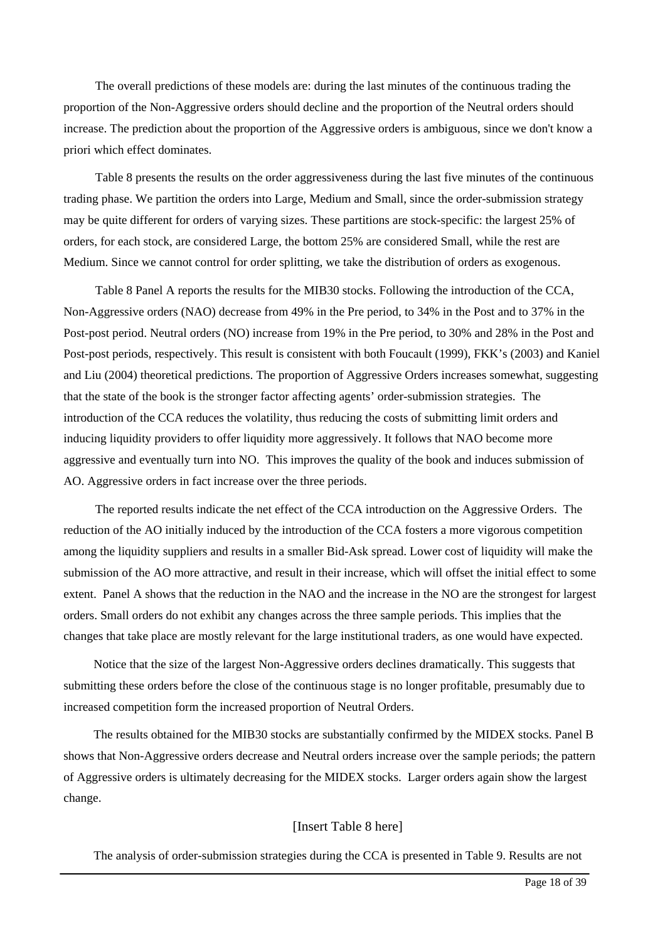The overall predictions of these models are: during the last minutes of the continuous trading the proportion of the Non-Aggressive orders should decline and the proportion of the Neutral orders should increase. The prediction about the proportion of the Aggressive orders is ambiguous, since we don't know a priori which effect dominates.

Table 8 presents the results on the order aggressiveness during the last five minutes of the continuous trading phase. We partition the orders into Large, Medium and Small, since the order-submission strategy may be quite different for orders of varying sizes. These partitions are stock-specific: the largest 25% of orders, for each stock, are considered Large, the bottom 25% are considered Small, while the rest are Medium. Since we cannot control for order splitting, we take the distribution of orders as exogenous.

Table 8 Panel A reports the results for the MIB30 stocks. Following the introduction of the CCA, Non-Aggressive orders (NAO) decrease from 49% in the Pre period, to 34% in the Post and to 37% in the Post-post period. Neutral orders (NO) increase from 19% in the Pre period, to 30% and 28% in the Post and Post-post periods, respectively. This result is consistent with both Foucault (1999), FKK's (2003) and Kaniel and Liu (2004) theoretical predictions. The proportion of Aggressive Orders increases somewhat, suggesting that the state of the book is the stronger factor affecting agents' order-submission strategies. The introduction of the CCA reduces the volatility, thus reducing the costs of submitting limit orders and inducing liquidity providers to offer liquidity more aggressively. It follows that NAO become more aggressive and eventually turn into NO. This improves the quality of the book and induces submission of AO. Aggressive orders in fact increase over the three periods.

The reported results indicate the net effect of the CCA introduction on the Aggressive Orders. The reduction of the AO initially induced by the introduction of the CCA fosters a more vigorous competition among the liquidity suppliers and results in a smaller Bid-Ask spread. Lower cost of liquidity will make the submission of the AO more attractive, and result in their increase, which will offset the initial effect to some extent. Panel A shows that the reduction in the NAO and the increase in the NO are the strongest for largest orders. Small orders do not exhibit any changes across the three sample periods. This implies that the changes that take place are mostly relevant for the large institutional traders, as one would have expected.

Notice that the size of the largest Non-Aggressive orders declines dramatically. This suggests that submitting these orders before the close of the continuous stage is no longer profitable, presumably due to increased competition form the increased proportion of Neutral Orders.

The results obtained for the MIB30 stocks are substantially confirmed by the MIDEX stocks. Panel B shows that Non-Aggressive orders decrease and Neutral orders increase over the sample periods; the pattern of Aggressive orders is ultimately decreasing for the MIDEX stocks. Larger orders again show the largest change.

#### [Insert Table 8 here]

The analysis of order-submission strategies during the CCA is presented in Table 9. Results are not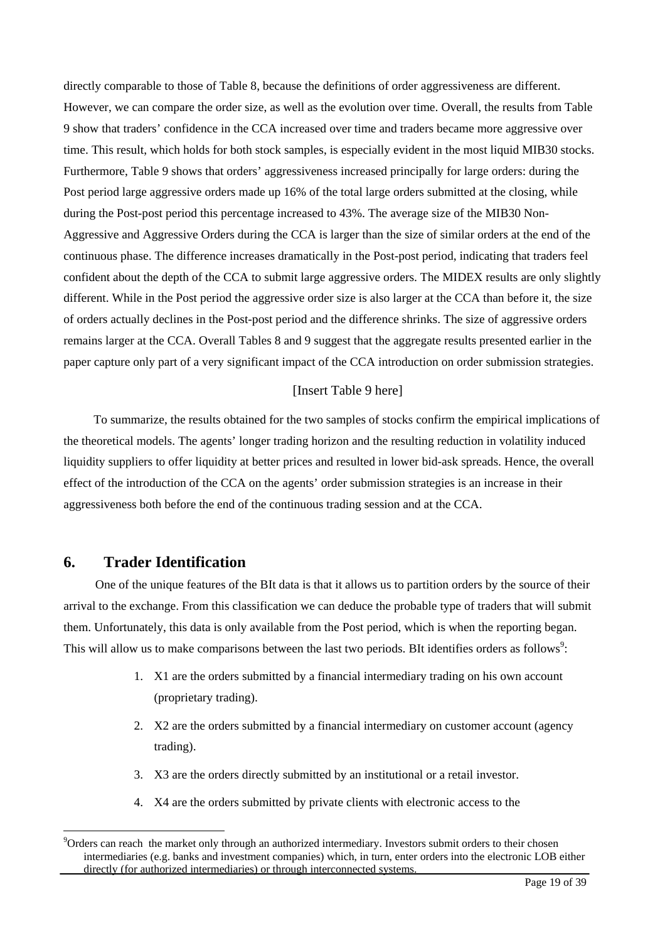directly comparable to those of Table 8, because the definitions of order aggressiveness are different. However, we can compare the order size, as well as the evolution over time. Overall, the results from Table 9 show that traders' confidence in the CCA increased over time and traders became more aggressive over time. This result, which holds for both stock samples, is especially evident in the most liquid MIB30 stocks. Furthermore, Table 9 shows that orders' aggressiveness increased principally for large orders: during the Post period large aggressive orders made up 16% of the total large orders submitted at the closing, while during the Post-post period this percentage increased to 43%. The average size of the MIB30 Non-Aggressive and Aggressive Orders during the CCA is larger than the size of similar orders at the end of the continuous phase. The difference increases dramatically in the Post-post period, indicating that traders feel confident about the depth of the CCA to submit large aggressive orders. The MIDEX results are only slightly different. While in the Post period the aggressive order size is also larger at the CCA than before it, the size of orders actually declines in the Post-post period and the difference shrinks. The size of aggressive orders remains larger at the CCA. Overall Tables 8 and 9 suggest that the aggregate results presented earlier in the paper capture only part of a very significant impact of the CCA introduction on order submission strategies.

### [Insert Table 9 here]

To summarize, the results obtained for the two samples of stocks confirm the empirical implications of the theoretical models. The agents' longer trading horizon and the resulting reduction in volatility induced liquidity suppliers to offer liquidity at better prices and resulted in lower bid-ask spreads. Hence, the overall effect of the introduction of the CCA on the agents' order submission strategies is an increase in their aggressiveness both before the end of the continuous trading session and at the CCA.

# **6. Trader Identification**

 $\overline{a}$ 

One of the unique features of the BIt data is that it allows us to partition orders by the source of their arrival to the exchange. From this classification we can deduce the probable type of traders that will submit them. Unfortunately, this data is only available from the Post period, which is when the reporting began. This will allow us to make comparisons between the last two periods. BIt identifies orders as follows<sup>9</sup>:

- 1. X1 are the orders submitted by a financial intermediary trading on his own account (proprietary trading).
- 2. X2 are the orders submitted by a financial intermediary on customer account (agency trading).
- 3. X3 are the orders directly submitted by an institutional or a retail investor.
- 4. X4 are the orders submitted by private clients with electronic access to the

<span id="page-17-0"></span><sup>&</sup>lt;sup>9</sup>Orders can reach the market only through an authorized intermediary. Investors submit orders to their chosen intermediaries (e.g. banks and investment companies) which, in turn, enter orders into the electronic LOB either directly (for authorized intermediaries) or through interconnected systems.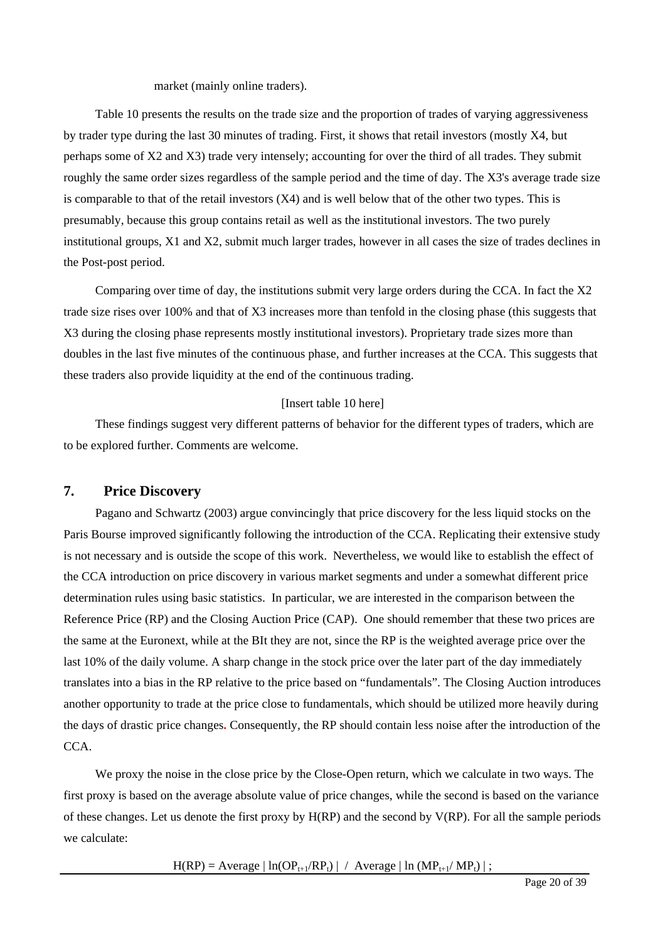#### market (mainly online traders).

Table 10 presents the results on the trade size and the proportion of trades of varying aggressiveness by trader type during the last 30 minutes of trading. First, it shows that retail investors (mostly X4, but perhaps some of X2 and X3) trade very intensely; accounting for over the third of all trades. They submit roughly the same order sizes regardless of the sample period and the time of day. The X3's average trade size is comparable to that of the retail investors (X4) and is well below that of the other two types. This is presumably, because this group contains retail as well as the institutional investors. The two purely institutional groups, X1 and X2, submit much larger trades, however in all cases the size of trades declines in the Post-post period.

Comparing over time of day, the institutions submit very large orders during the CCA. In fact the X2 trade size rises over 100% and that of X3 increases more than tenfold in the closing phase (this suggests that X3 during the closing phase represents mostly institutional investors). Proprietary trade sizes more than doubles in the last five minutes of the continuous phase, and further increases at the CCA. This suggests that these traders also provide liquidity at the end of the continuous trading.

#### [Insert table 10 here]

These findings suggest very different patterns of behavior for the different types of traders, which are to be explored further. Comments are welcome.

# **7. Price Discovery**

Pagano and Schwartz (2003) argue convincingly that price discovery for the less liquid stocks on the Paris Bourse improved significantly following the introduction of the CCA. Replicating their extensive study is not necessary and is outside the scope of this work. Nevertheless, we would like to establish the effect of the CCA introduction on price discovery in various market segments and under a somewhat different price determination rules using basic statistics. In particular, we are interested in the comparison between the Reference Price (RP) and the Closing Auction Price (CAP). One should remember that these two prices are the same at the Euronext, while at the BIt they are not, since the RP is the weighted average price over the last 10% of the daily volume. A sharp change in the stock price over the later part of the day immediately translates into a bias in the RP relative to the price based on "fundamentals". The Closing Auction introduces another opportunity to trade at the price close to fundamentals, which should be utilized more heavily during the days of drastic price changes**.** Consequently, the RP should contain less noise after the introduction of the CCA.

We proxy the noise in the close price by the Close-Open return, which we calculate in two ways. The first proxy is based on the average absolute value of price changes, while the second is based on the variance of these changes. Let us denote the first proxy by  $H(RP)$  and the second by  $V(RP)$ . For all the sample periods we calculate:

 $H(RP) = Average | ln(OP_{t+1}/RP_t) | / Average | ln (MP_{t+1}/MP_t) |$ ;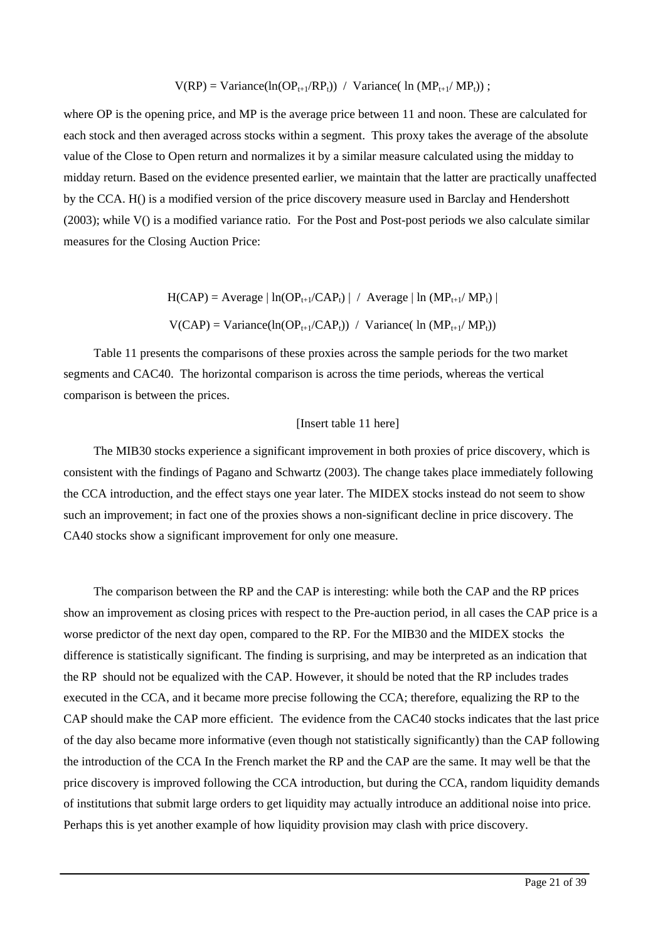$$
V(RP) = Variance(ln(OP_{t+1}/RP_t)) / Variance( ln (MP_{t+1}/MP_t));
$$

where OP is the opening price, and MP is the average price between 11 and noon. These are calculated for each stock and then averaged across stocks within a segment. This proxy takes the average of the absolute value of the Close to Open return and normalizes it by a similar measure calculated using the midday to midday return. Based on the evidence presented earlier, we maintain that the latter are practically unaffected by the CCA. H() is a modified version of the price discovery measure used in Barclay and Hendershott (2003); while V() is a modified variance ratio. For the Post and Post-post periods we also calculate similar measures for the Closing Auction Price:

 $H(CAP) = Average | ln(OP_{t+1}/CAP_t) | / Average | ln (MP_{t+1}/MP_t) |$ 

 $V(CAP) = \text{Variance}(\ln(OP_{t+1}/CAP_t)) / \text{Variance}(\ln (MP_{t+1}/MP_t))$ 

Table 11 presents the comparisons of these proxies across the sample periods for the two market segments and CAC40. The horizontal comparison is across the time periods, whereas the vertical comparison is between the prices.

#### [Insert table 11 here]

The MIB30 stocks experience a significant improvement in both proxies of price discovery, which is consistent with the findings of Pagano and Schwartz (2003). The change takes place immediately following the CCA introduction, and the effect stays one year later. The MIDEX stocks instead do not seem to show such an improvement; in fact one of the proxies shows a non-significant decline in price discovery. The CA40 stocks show a significant improvement for only one measure.

The comparison between the RP and the CAP is interesting: while both the CAP and the RP prices show an improvement as closing prices with respect to the Pre-auction period, in all cases the CAP price is a worse predictor of the next day open, compared to the RP. For the MIB30 and the MIDEX stocks the difference is statistically significant. The finding is surprising, and may be interpreted as an indication that the RP should not be equalized with the CAP. However, it should be noted that the RP includes trades executed in the CCA, and it became more precise following the CCA; therefore, equalizing the RP to the CAP should make the CAP more efficient. The evidence from the CAC40 stocks indicates that the last price of the day also became more informative (even though not statistically significantly) than the CAP following the introduction of the CCA In the French market the RP and the CAP are the same. It may well be that the price discovery is improved following the CCA introduction, but during the CCA, random liquidity demands of institutions that submit large orders to get liquidity may actually introduce an additional noise into price. Perhaps this is yet another example of how liquidity provision may clash with price discovery.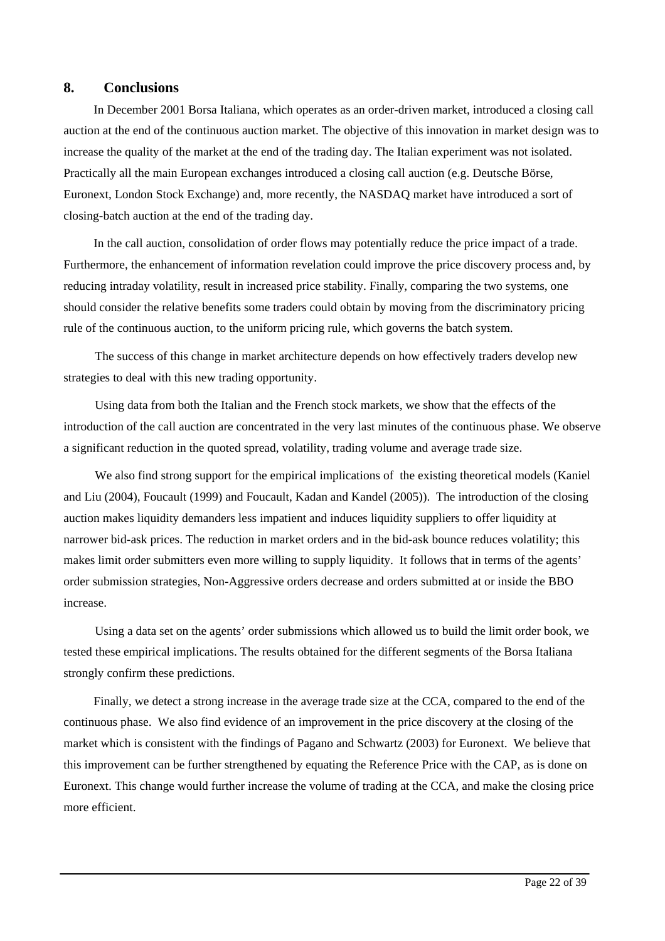# **8. Conclusions**

In December 2001 Borsa Italiana, which operates as an order-driven market, introduced a closing call auction at the end of the continuous auction market. The objective of this innovation in market design was to increase the quality of the market at the end of the trading day. The Italian experiment was not isolated. Practically all the main European exchanges introduced a closing call auction (e.g. Deutsche Börse, Euronext, London Stock Exchange) and, more recently, the NASDAQ market have introduced a sort of closing-batch auction at the end of the trading day.

In the call auction, consolidation of order flows may potentially reduce the price impact of a trade. Furthermore, the enhancement of information revelation could improve the price discovery process and, by reducing intraday volatility, result in increased price stability. Finally, comparing the two systems, one should consider the relative benefits some traders could obtain by moving from the discriminatory pricing rule of the continuous auction, to the uniform pricing rule, which governs the batch system.

The success of this change in market architecture depends on how effectively traders develop new strategies to deal with this new trading opportunity.

Using data from both the Italian and the French stock markets, we show that the effects of the introduction of the call auction are concentrated in the very last minutes of the continuous phase. We observe a significant reduction in the quoted spread, volatility, trading volume and average trade size.

We also find strong support for the empirical implications of the existing theoretical models (Kaniel and Liu (2004), Foucault (1999) and Foucault, Kadan and Kandel (2005)). The introduction of the closing auction makes liquidity demanders less impatient and induces liquidity suppliers to offer liquidity at narrower bid-ask prices. The reduction in market orders and in the bid-ask bounce reduces volatility; this makes limit order submitters even more willing to supply liquidity. It follows that in terms of the agents' order submission strategies, Non-Aggressive orders decrease and orders submitted at or inside the BBO increase.

Using a data set on the agents' order submissions which allowed us to build the limit order book, we tested these empirical implications. The results obtained for the different segments of the Borsa Italiana strongly confirm these predictions.

Finally, we detect a strong increase in the average trade size at the CCA, compared to the end of the continuous phase. We also find evidence of an improvement in the price discovery at the closing of the market which is consistent with the findings of Pagano and Schwartz (2003) for Euronext. We believe that this improvement can be further strengthened by equating the Reference Price with the CAP, as is done on Euronext. This change would further increase the volume of trading at the CCA, and make the closing price more efficient.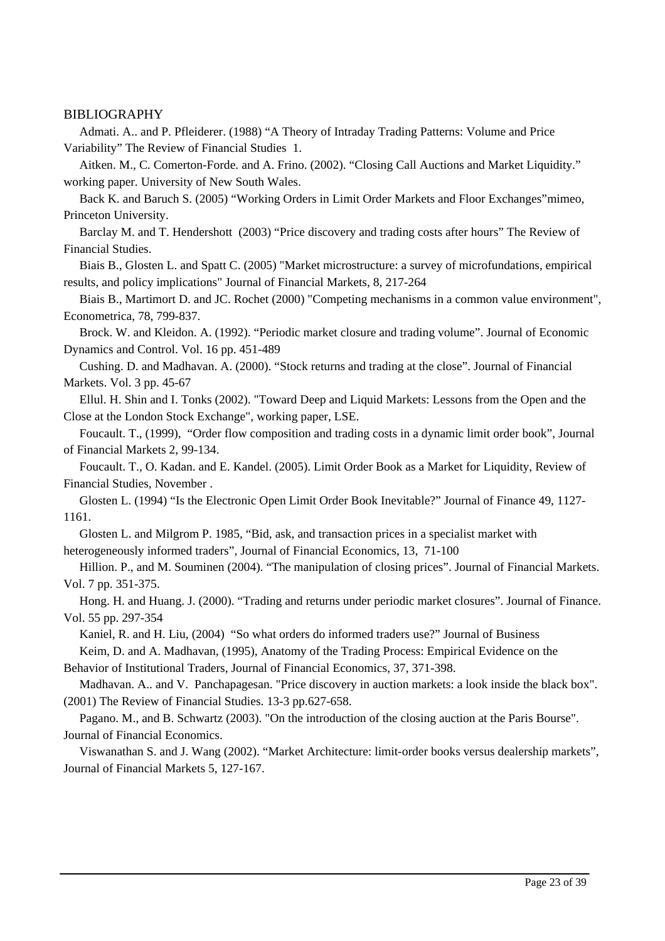## BIBLIOGRAPHY

Admati. A.. and P. Pfleiderer. (1988) "A Theory of Intraday Trading Patterns: Volume and Price Variability" The Review of Financial Studies 1.

Aitken. M., C. Comerton-Forde. and A. Frino. (2002). "Closing Call Auctions and Market Liquidity." working paper. University of New South Wales.

Back K. and Baruch S. (2005) "Working Orders in Limit Order Markets and Floor Exchanges"mimeo, Princeton University.

Barclay M. and T. Hendershott (2003) "Price discovery and trading costs after hours" The Review of Financial Studies.

Biais B., Glosten L. and Spatt C. (2005) "Market microstructure: a survey of microfundations, empirical results, and policy implications" Journal of Financial Markets, 8, 217-264

Biais B., Martimort D. and JC. Rochet (2000) "Competing mechanisms in a common value environment", Econometrica, 78, 799-837.

Brock. W. and Kleidon. A. (1992). "Periodic market closure and trading volume". Journal of Economic Dynamics and Control. Vol. 16 pp. 451-489

Cushing. D. and Madhavan. A. (2000). "Stock returns and trading at the close". Journal of Financial Markets. Vol. 3 pp. 45-67

Ellul. H. Shin and I. Tonks (2002). "Toward Deep and Liquid Markets: Lessons from the Open and the Close at the London Stock Exchange", working paper, LSE.

Foucault. T., (1999), "Order flow composition and trading costs in a dynamic limit order book", Journal of Financial Markets 2, 99-134.

Foucault. T., O. Kadan. and E. Kandel. (2005). Limit Order Book as a Market for Liquidity, Review of Financial Studies, November .

Glosten L. (1994) "Is the Electronic Open Limit Order Book Inevitable?" Journal of Finance 49, 1127- 1161.

Glosten L. and Milgrom P. 1985, "Bid, ask, and transaction prices in a specialist market with heterogeneously informed traders", Journal of Financial Economics, 13, 71-100

Hillion. P., and M. Souminen (2004). "The manipulation of closing prices". Journal of Financial Markets. Vol. 7 pp. 351-375.

Hong. H. and Huang. J. (2000). "Trading and returns under periodic market closures". Journal of Finance. Vol. 55 pp. 297-354

Kaniel, R. and H. Liu, (2004) "So what orders do informed traders use?" Journal of Business

Keim, D. and A. Madhavan, (1995), Anatomy of the Trading Process: Empirical Evidence on the Behavior of Institutional Traders, Journal of Financial Economics, 37, 371-398.

Madhavan. A.. and V. Panchapagesan. "Price discovery in auction markets: a look inside the black box". (2001) The Review of Financial Studies. 13-3 pp.627-658.

Pagano. M., and B. Schwartz (2003). "On the introduction of the closing auction at the Paris Bourse". Journal of Financial Economics.

Viswanathan S. and J. Wang (2002). "Market Architecture: limit-order books versus dealership markets", Journal of Financial Markets 5, 127-167.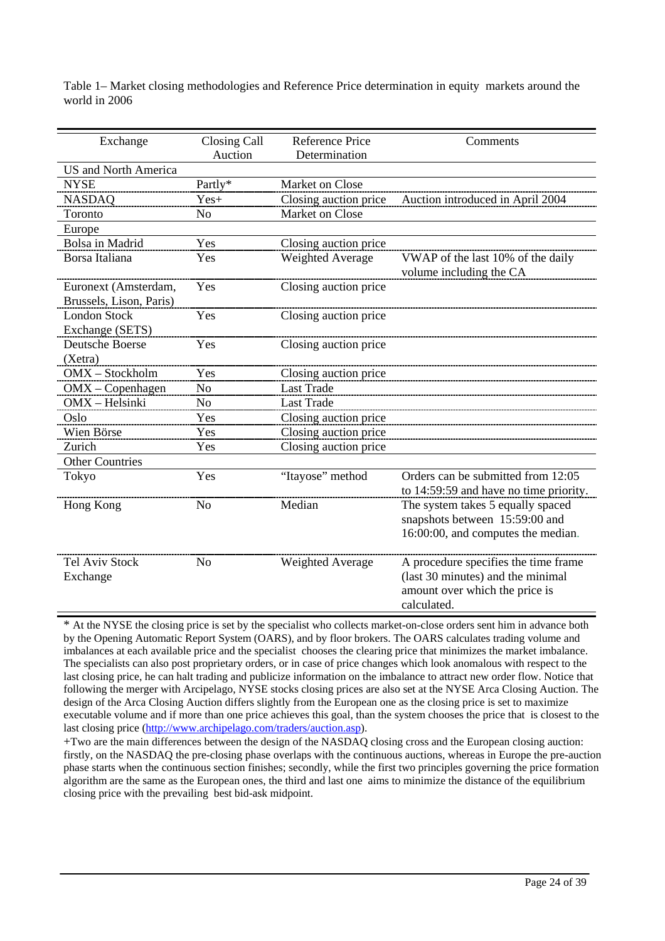| Exchange                                        | Closing Call<br>Auction | <b>Reference Price</b><br>Determination | Comments                                                                                                                   |
|-------------------------------------------------|-------------------------|-----------------------------------------|----------------------------------------------------------------------------------------------------------------------------|
| <b>US</b> and North America                     |                         |                                         |                                                                                                                            |
| <b>NYSE</b>                                     | Partly*                 | Market on Close                         |                                                                                                                            |
| <b>NASDAQ</b>                                   | $Yes+$                  | Closing auction price                   | Auction introduced in April 2004                                                                                           |
| Toronto                                         | N <sub>0</sub>          | Market on Close                         |                                                                                                                            |
| Europe                                          |                         |                                         |                                                                                                                            |
| Bolsa in Madrid                                 | Yes                     | Closing auction price                   |                                                                                                                            |
| Borsa Italiana                                  | Yes                     | Weighted Average                        | VWAP of the last 10% of the daily<br>volume including the CA                                                               |
| Euronext (Amsterdam,<br>Brussels, Lison, Paris) | Yes                     | Closing auction price                   |                                                                                                                            |
| <b>London Stock</b><br>Exchange (SETS)          | Yes                     | Closing auction price                   |                                                                                                                            |
| Deutsche Boerse<br>(Xetra)                      | Yes                     | Closing auction price                   |                                                                                                                            |
| OMX - Stockholm                                 | Yes                     | Closing auction price                   |                                                                                                                            |
| $OMX - Copenhagen$                              | No                      | <b>Last Trade</b>                       |                                                                                                                            |
| OMX - Helsinki                                  | N <sub>o</sub>          | <b>Last Trade</b>                       |                                                                                                                            |
| Oslo                                            | Yes                     | Closing auction price                   |                                                                                                                            |
| Wien Börse                                      | Yes                     | Closing auction price                   |                                                                                                                            |
| Zurich                                          | Yes                     | Closing auction price                   |                                                                                                                            |
| <b>Other Countries</b>                          |                         |                                         |                                                                                                                            |
| Tokyo                                           | Yes                     | "Itayose" method                        | Orders can be submitted from 12:05<br>to 14:59:59 and have no time priority.                                               |
| Hong Kong                                       | N <sub>o</sub>          | Median                                  | The system takes 5 equally spaced<br>snapshots between 15:59:00 and<br>16:00:00, and computes the median.                  |
| <b>Tel Aviv Stock</b><br>Exchange               | N <sub>o</sub>          | <b>Weighted Average</b>                 | A procedure specifies the time frame<br>(last 30 minutes) and the minimal<br>amount over which the price is<br>calculated. |

Table 1– Market closing methodologies and Reference Price determination in equity markets around the world in 2006

\* At the NYSE the closing price is set by the specialist who collects market-on-close orders sent him in advance both by the Opening Automatic Report System (OARS), and by floor brokers. The OARS calculates trading volume and imbalances at each available price and the specialist chooses the clearing price that minimizes the market imbalance. The specialists can also post proprietary orders, or in case of price changes which look anomalous with respect to the last closing price, he can halt trading and publicize information on the imbalance to attract new order flow. Notice that following the merger with Arcipelago, NYSE stocks closing prices are also set at the NYSE Arca Closing Auction. The design of the Arca Closing Auction differs slightly from the European one as the closing price is set to maximize executable volume and if more than one price achieves this goal, than the system chooses the price that is closest to the last closing price [\(http://www.archipelago.com/traders/auction.asp\)](http://www.archipelago.com/traders/auction.asp).

+Two are the main differences between the design of the NASDAQ closing cross and the European closing auction: firstly, on the NASDAQ the pre-closing phase overlaps with the continuous auctions, whereas in Europe the pre-auction phase starts when the continuous section finishes; secondly, while the first two principles governing the price formation algorithm are the same as the European ones, the third and last one aims to minimize the distance of the equilibrium closing price with the prevailing best bid-ask midpoint.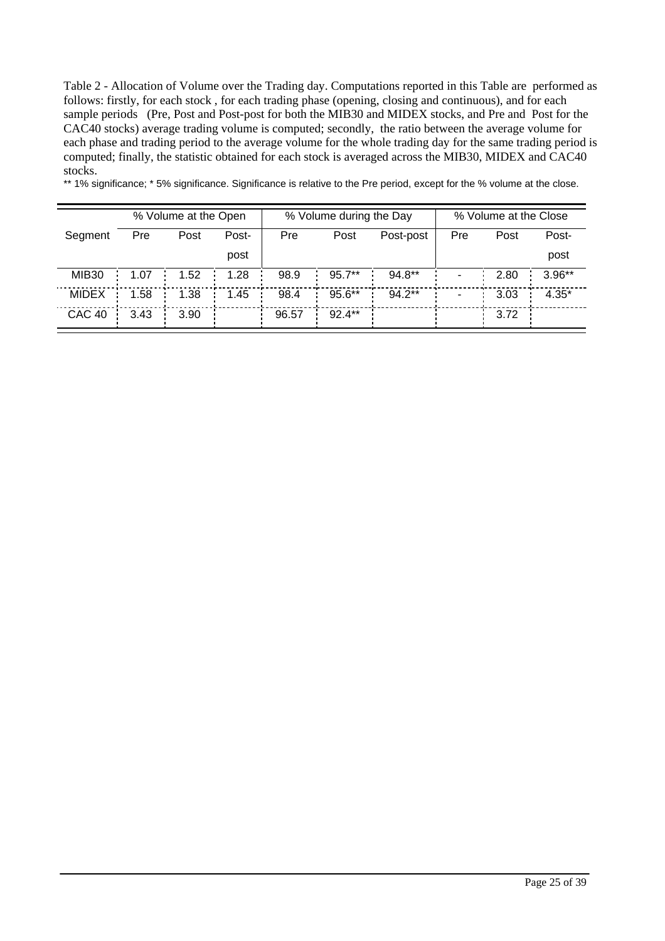Table 2 - Allocation of Volume over the Trading day. Computations reported in this Table are performed as follows: firstly, for each stock , for each trading phase (opening, closing and continuous), and for each sample periods (Pre, Post and Post-post for both the MIB30 and MIDEX stocks, and Pre and Post for the CAC40 stocks) average trading volume is computed; secondly, the ratio between the average volume for each phase and trading period to the average volume for the whole trading day for the same trading period is computed; finally, the statistic obtained for each stock is averaged across the MIB30, MIDEX and CAC40 stocks.

\*\* 1% significance; \* 5% significance. Significance is relative to the Pre period, except for the % volume at the close.

|                   |      | % Volume at the Open |       |       | % Volume during the Day |           |     | % Volume at the Close |          |
|-------------------|------|----------------------|-------|-------|-------------------------|-----------|-----|-----------------------|----------|
| Segment           | Pre  | Post                 | Post- | Pre   | Post                    | Post-post | Pre | Post                  | Post-    |
|                   |      |                      | post  |       |                         |           |     |                       | post     |
| MIB <sub>30</sub> | 1.07 | 1.52                 | 1.28  | 98.9  | $95.7**$                | $94.8**$  |     | 2.80                  | $3.96**$ |
| <b>MIDEX</b>      | 1.58 | 1.38                 | 1.45  | 98.4  | 95.6**                  | $94.2**$  |     | 3.03                  | $4.35*$  |
| <b>CAC 40</b>     | 3.43 | 3.90                 |       | 96.57 | $92.4**$                |           |     | 3.72                  |          |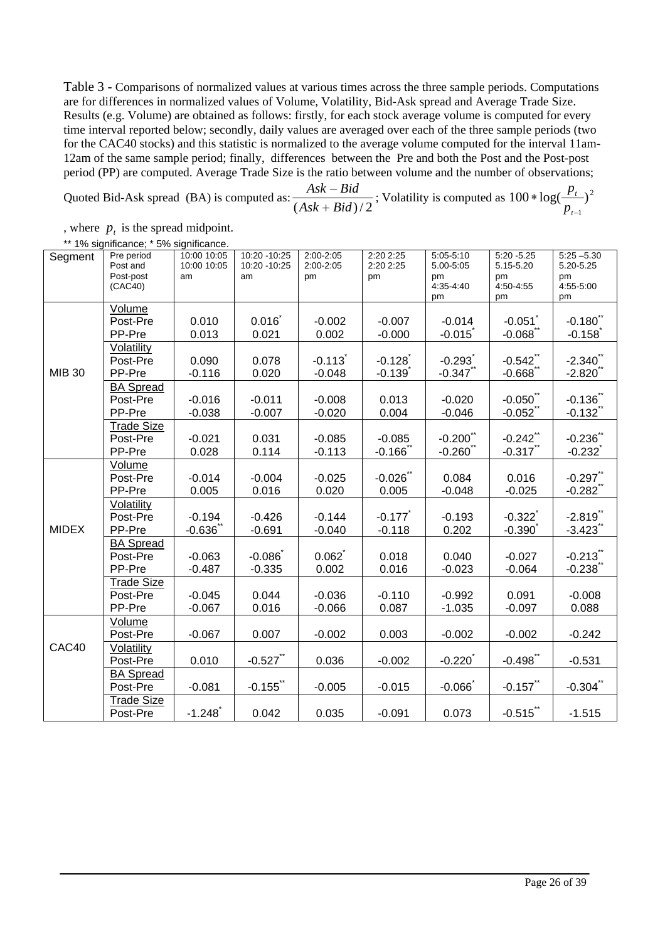Table 3 - Comparisons of normalized values at various times across the three sample periods. Computations are for differences in normalized values of Volume, Volatility, Bid-Ask spread and Average Trade Size. Results (e.g. Volume) are obtained as follows: firstly, for each stock average volume is computed for every time interval reported below; secondly, daily values are averaged over each of the three sample periods (two for the CAC40 stocks) and this statistic is normalized to the average volume computed for the interval 11am-12am of the same sample period; finally, differences between the Pre and both the Post and the Post-post period (PP) are computed. Average Trade Size is the ratio between volume and the number of observations;

Quoted Bid-Ask spread (BA) is computed as:  $(Ask + Bid)/2$ *Ask Bid* +  $-\text{Bid}$ ; Volatility is computed as  $100 * \log(\frac{p_t}{r})^2$ 1  $100 * \log( \frac{P_t}{P_t})$ − ∗ *t t p p*

, where  $p<sub>t</sub>$  is the spread midpoint.

|  |  |  | ** 1% significance; * 5% significance. |  |  |  |  |
|--|--|--|----------------------------------------|--|--|--|--|
|--|--|--|----------------------------------------|--|--|--|--|

| Segment       | Pre period<br>Post and | 10:00 10:05<br>10:00 10:05 | 10:20 - 10:25<br>10:20 - 10:25 | 2:00-2:05<br>2:00-2:05 | 2:20 2:25<br>2:20 2:25 | $5:05-5:10$<br>5.00-5:05 | $5:20 - 5.25$<br>5.15-5.20 | $5:25 - 5.30$<br>5.20-5.25 |
|---------------|------------------------|----------------------------|--------------------------------|------------------------|------------------------|--------------------------|----------------------------|----------------------------|
|               | Post-post              | am                         | am                             | pm                     | pm                     | pm                       | pm                         | pm                         |
|               | (CAC40)                |                            |                                |                        |                        | 4:35-4:40                | 4:50-4:55                  | 4:55-5:00                  |
|               |                        |                            |                                |                        |                        | pm                       | pm                         | pm                         |
|               | Volume                 |                            |                                |                        |                        |                          |                            |                            |
|               | Post-Pre               | 0.010                      | 0.016                          | $-0.002$               | $-0.007$               | $-0.014$                 | $-0.051$                   | $-0.180$                   |
|               | PP-Pre                 | 0.013                      | 0.021                          | 0.002                  | $-0.000$               | $-0.015$                 | $-0.068$                   | $-0.158$                   |
|               | Volatility             |                            |                                |                        |                        |                          |                            |                            |
|               | Post-Pre               | 0.090                      | 0.078                          | $-0.113$               | $-0.128$               | $-0.293$ <sup>*</sup>    | $-0.542$ **                | $-2.340$ **                |
| <b>MIB 30</b> | PP-Pre                 | $-0.116$                   | 0.020                          | $-0.048$               | $-0.139$               | $-0.347$                 | $-0.668$                   | $-2.820$                   |
|               | <b>BA Spread</b>       |                            |                                |                        |                        |                          |                            |                            |
|               | Post-Pre               | $-0.016$                   | $-0.011$                       | $-0.008$               | 0.013                  | $-0.020$                 | $-0.050$ **                | $-0.136$                   |
|               | PP-Pre                 | $-0.038$                   | $-0.007$                       | $-0.020$               | 0.004                  | $-0.046$                 | $-0.052$                   | $-0.132$ <sup>*</sup>      |
|               | <b>Trade Size</b>      |                            |                                |                        |                        |                          |                            |                            |
|               | Post-Pre               | $-0.021$                   | 0.031                          | $-0.085$               | $-0.085$               | $-0.200$ **              | $-0.242$ **                | $-0.236$ **                |
|               | PP-Pre                 | 0.028                      | 0.114                          | $-0.113$               | $-0.166$               | $-0.260$ **              | $-0.317$ **                | $-0.232$                   |
|               | Volume                 |                            |                                |                        |                        |                          |                            |                            |
|               | Post-Pre               | $-0.014$                   | $-0.004$                       | $-0.025$               | $-0.026$               | 0.084                    | 0.016                      | $-0.297$ **                |
|               | PP-Pre                 | 0.005                      | 0.016                          | 0.020                  | 0.005                  | $-0.048$                 | $-0.025$                   | $-0.282$ **                |
|               | Volatility             |                            |                                |                        |                        |                          |                            |                            |
|               | Post-Pre               | $-0.194$                   | $-0.426$                       | $-0.144$               | $-0.177$               | $-0.193$                 | $-0.322$                   | $-2.819$ **                |
| <b>MIDEX</b>  | PP-Pre                 | $-0.636$                   | $-0.691$                       | $-0.040$               | $-0.118$               | 0.202                    | $-0.390$                   | $-3.423$                   |
|               | <b>BA</b> Spread       |                            |                                |                        |                        |                          |                            |                            |
|               | Post-Pre               | $-0.063$                   | $-0.086$                       | 0.062                  | 0.018                  | 0.040                    | $-0.027$                   | $-0.213$ **                |
|               | PP-Pre                 | $-0.487$                   | $-0.335$                       | 0.002                  | 0.016                  | $-0.023$                 | $-0.064$                   | $-0.238$                   |
|               | <b>Trade Size</b>      |                            |                                |                        |                        |                          |                            |                            |
|               | Post-Pre               | $-0.045$                   | 0.044                          | $-0.036$               | $-0.110$               | $-0.992$                 | 0.091                      | $-0.008$                   |
|               | PP-Pre                 | $-0.067$                   | 0.016                          | $-0.066$               | 0.087                  | $-1.035$                 | $-0.097$                   | 0.088                      |
|               | Volume                 |                            |                                |                        |                        |                          |                            |                            |
|               | Post-Pre               | $-0.067$                   | 0.007                          | $-0.002$               | 0.003                  | $-0.002$                 | $-0.002$                   | $-0.242$                   |
| CAC40         | Volatility             |                            |                                |                        |                        |                          |                            |                            |
|               | Post-Pre               | 0.010                      | $-0.527$ **                    | 0.036                  | $-0.002$               | $-0.220$                 | $-0.498$ **                | $-0.531$                   |
|               | <b>BA Spread</b>       |                            |                                |                        |                        |                          |                            |                            |
|               | Post-Pre               | $-0.081$                   | $-0.155$ **                    | $-0.005$               | $-0.015$               | $-0.066$                 | $-0.157$ **                | $-0.304$ **                |
|               | <b>Trade Size</b>      |                            |                                |                        |                        |                          |                            |                            |
|               | Post-Pre               | $-1.248$                   | 0.042                          | 0.035                  | $-0.091$               | 0.073                    | $-0.515$ **                | $-1.515$                   |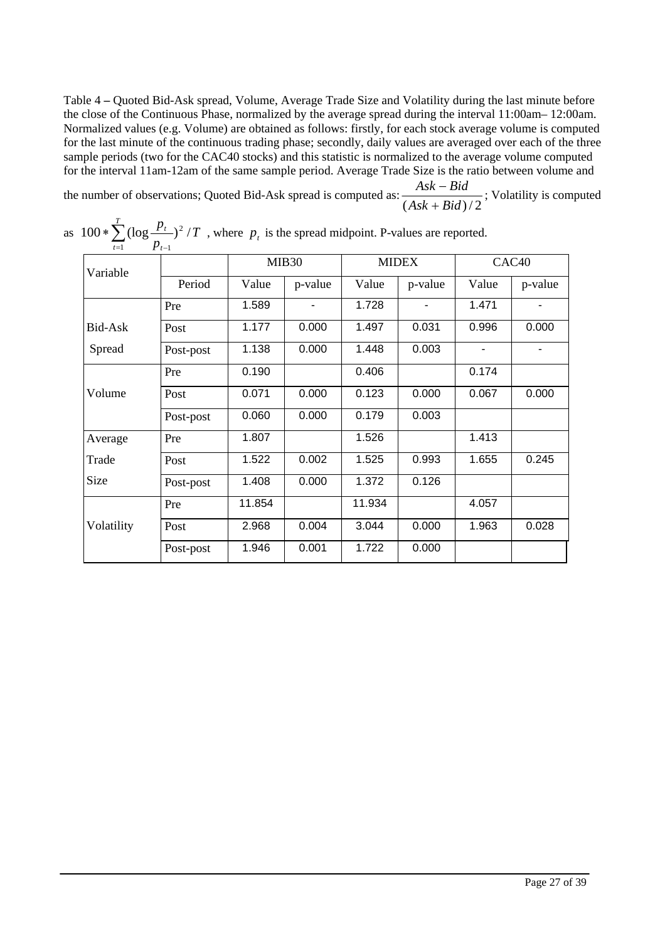Table 4 **–** Quoted Bid-Ask spread, Volume, Average Trade Size and Volatility during the last minute before the close of the Continuous Phase, normalized by the average spread during the interval 11:00am– 12:00am. Normalized values (e.g. Volume) are obtained as follows: firstly, for each stock average volume is computed for the last minute of the continuous trading phase; secondly, daily values are averaged over each of the three sample periods (two for the CAC40 stocks) and this statistic is normalized to the average volume computed for the interval 11am-12am of the same sample period. Average Trade Size is the ratio between volume and

the number of observations; Quoted Bid-Ask spread is computed as:  $\frac{715\pi}{(Ask + Bid)/2}$ *Ask Bid* +  $\frac{-Bid}{\sqrt{-1}}$ ; Volatility is computed

| Variable   |           |        | MIB <sub>30</sub> |                    | <b>MIDEX</b> |                          | CAC <sub>40</sub> |
|------------|-----------|--------|-------------------|--------------------|--------------|--------------------------|-------------------|
|            | Period    | Value  | p-value           | Value              | p-value      | Value                    | p-value           |
|            | Pre       | 1.589  |                   | 1.728              |              | 1.471                    |                   |
| Bid-Ask    | Post      | 1.177  | 0.000             | 1.497              | 0.031        | 0.996                    | 0.000             |
| Spread     | Post-post | 1.138  | 0.000             | 1.448              | 0.003        | $\overline{\phantom{0}}$ |                   |
|            | Pre       | 0.190  |                   | 0.406              |              | 0.174                    |                   |
| Volume     | Post      | 0.071  | 0.000             | 0.123              | 0.000        | 0.067                    | 0.000             |
|            | Post-post | 0.060  | 0.000             | 0.179              | 0.003        |                          |                   |
| Average    | Pre       | 1.807  |                   | 1.526              |              | 1.413                    |                   |
| Trade      | Post      | 1.522  | 0.002             | 1.525              | 0.993        | 1.655                    | 0.245             |
| Size       | Post-post | 1.408  | 0.000             | 1.372              | 0.126        |                          |                   |
|            | Pre       | 11.854 |                   | 11.934             |              | 4.057                    |                   |
| Volatility | Post      | 2.968  | 0.004             | 3.044              | 0.000        | 1.963                    | 0.028             |
|            | Post-post | 1.946  | 0.001             | $\overline{1.722}$ | 0.000        |                          |                   |

as  $100 * \sum_{t=1}^{T} (\log \frac{p_t}{p_{t-1}})^2 / T$ , where  $p_t$  is the spread midpoint. P-values are reported.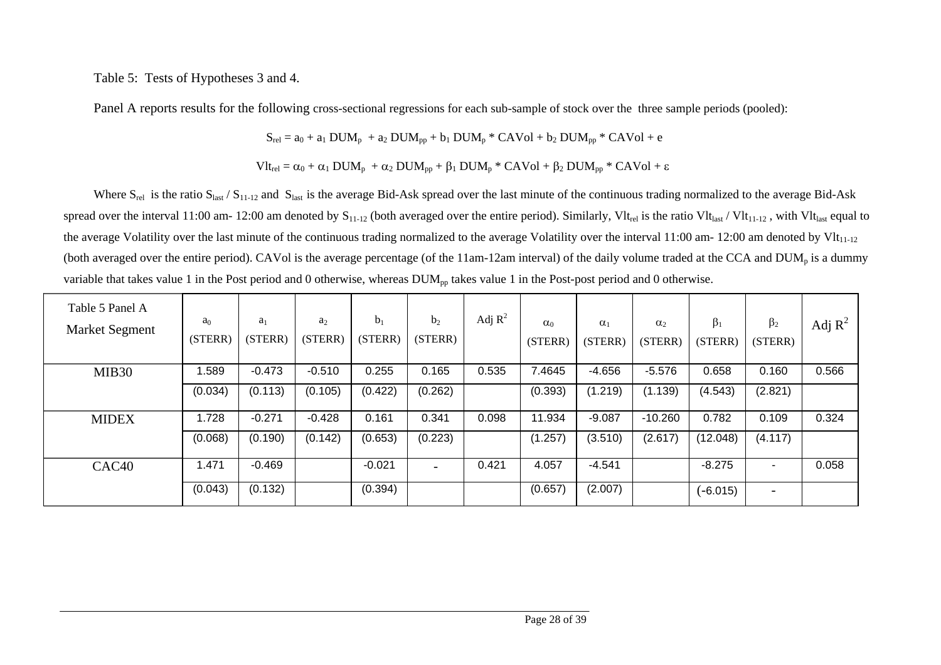Table 5: Tests of Hypotheses 3 and 4.

Panel A reports results for the following cross-sectional regressions for each sub-sample of stock over the three sample periods (pooled):

$$
S_{rel} = a_0 + a_1 DUM_p + a_2 DUM_{pp} + b_1 DUM_p * CAVol + b_2 DUM_{pp} * CAVol + e
$$

$$
Vlt_{rel} = \alpha_0 + \alpha_1\, DUM_p\ +\alpha_2\, DUM_{pp} + \beta_1\, DUM_p\ast\, CAVol + \beta_2\, DUM_{pp}\ast\, CAVol + \epsilon
$$

Where  $S_{rel}$  is the ratio  $S_{last} / S_{11-12}$  and  $S_{last}$  is the average Bid-Ask spread over the last minute of the continuous trading normalized to the average Bid-Ask spread over the interval 11:00 am- 12:00 am denoted by  $S_{11-12}$  (both averaged over the entire period). Similarly, Vlt<sub>rel</sub> is the ratio Vlt<sub>last</sub> / Vlt<sub>11-12</sub>, with Vlt<sub>last</sub> equal to the average Volatility over the last minute of the continuous trading normalized to the average Volatility over the interval 11:00 am- 12:00 am denoted by Vlt<sub>11-12</sub> (both averaged over the entire period). CAVol is the average percentage (of the 11am-12am interval) of the daily volume traded at the CCA and DUM<sub>p</sub> is a dummy variable that takes value 1 in the Post period and 0 otherwise, whereas  $DUM_{\text{pp}}$  takes value 1 in the Post-post period and 0 otherwise.

| Table 5 Panel A<br><b>Market Segment</b> | a <sub>0</sub><br>(STERR) | $a_1$<br>(STERR) | $a_2$<br>(STERR) | b <sub>1</sub><br>(STERR) | b <sub>2</sub><br>(STERR) | Adj $\mathbb{R}^2$ | $\alpha_0$<br>(STERR) | $\alpha_1$<br>(STERR) | $\alpha_2$<br>(STERR) | $\beta_1$<br>(STERR) | $\beta_2$<br>(STERR)     | Adj $R^2$ |
|------------------------------------------|---------------------------|------------------|------------------|---------------------------|---------------------------|--------------------|-----------------------|-----------------------|-----------------------|----------------------|--------------------------|-----------|
| MIB <sub>30</sub>                        | .589                      | $-0.473$         | $-0.510$         | 0.255                     | 0.165                     | 0.535              | 7.4645                | $-4.656$              | $-5.576$              | 0.658                | 0.160                    | 0.566     |
|                                          | (0.034)                   | (0.113)          | (0.105)          | (0.422)                   | (0.262)                   |                    | (0.393)               | (1.219)               | (1.139)               | (4.543)              | (2.821)                  |           |
| <b>MIDEX</b>                             | 1.728                     | $-0.271$         | $-0.428$         | 0.161                     | 0.341                     | 0.098              | 11.934                | $-9.087$              | $-10.260$             | 0.782                | 0.109                    | 0.324     |
|                                          | (0.068)                   | (0.190)          | (0.142)          | (0.653)                   | (0.223)                   |                    | (1.257)               | (3.510)               | (2.617)               | (12.048)             | (4.117)                  |           |
| CAC <sub>40</sub>                        | 1.471                     | $-0.469$         |                  | $-0.021$                  |                           | 0.421              | 4.057                 | $-4.541$              |                       | $-8.275$             | $\overline{\phantom{0}}$ | 0.058     |
|                                          | (0.043)                   | (0.132)          |                  | (0.394)                   |                           |                    | (0.657)               | (2.007)               |                       | $(-6.015)$           |                          |           |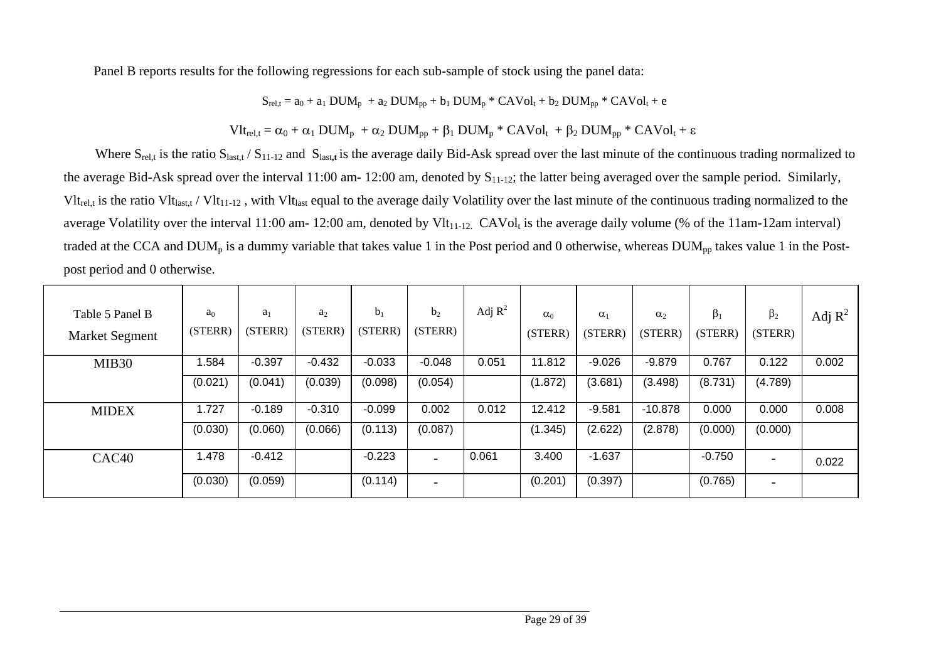Panel B reports results for the following regressions for each sub-sample of stock using the panel data:

$$
S_{rel,t} = a_0 + a_1\, DUM_p\, + a_2\, DUM_{pp} + b_1\, DUM_p\, {}^*\, CAVol_t + b_2\, DUM_{pp}\, {}^*\, CAVol_t + e
$$

$$
Vlt_{rel,t} = \alpha_0 + \alpha_1 \text{DUM}_p\ + \alpha_2 \text{DUM}_{pp} + \beta_1 \text{DUM}_p * \text{CAVol}_t\ + \beta_2 \text{DUM}_{pp} * \text{CAVol}_t + \epsilon
$$

Where S<sub>rel,t</sub> is the ratio S<sub>last,t</sub> / S<sub>11-12</sub> and S<sub>last,t</sub> is the average daily Bid-Ask spread over the last minute of the continuous trading normalized to the average Bid-Ask spread over the interval 11:00 am- 12:00 am, denoted by  $S_{11-12}$ ; the latter being averaged over the sample period. Similarly,  $Vlt_{\text{rel,t}}$  is the ratio Vlt<sub>last,t</sub> / Vlt<sub>11-12</sub>, with Vlt<sub>last</sub> equal to the average daily Volatility over the last minute of the continuous trading normalized to the average Volatility over the interval 11:00 am- 12:00 am, denoted by Vlt<sub>11-12</sub>. CAVol<sub>t</sub> is the average daily volume (% of the 11am-12am interval) traded at the CCA and DUM<sub>p</sub> is a dummy variable that takes value 1 in the Post period and 0 otherwise, whereas DUM<sub>pp</sub> takes value 1 in the Postpost period and 0 otherwise.

| Table 5 Panel B<br><b>Market Segment</b> | a <sub>0</sub><br>(STERR) | $a_1$<br>(STERR) | a <sub>2</sub><br>(STERR) | b <sub>1</sub><br>(STERR) | b <sub>2</sub><br>(STERR) | Adj $R^2$ | $\alpha_0$<br>(STERR) | $\alpha_1$<br>(STERR) | $\alpha_2$<br>(STERR) | $\beta_1$<br>(STERR) | $\beta_2$<br>(STERR)     | Adj $R^2$ |
|------------------------------------------|---------------------------|------------------|---------------------------|---------------------------|---------------------------|-----------|-----------------------|-----------------------|-----------------------|----------------------|--------------------------|-----------|
| MIB <sub>30</sub>                        | 1.584                     | $-0.397$         | $-0.432$                  | $-0.033$                  | $-0.048$                  | 0.051     | 11.812                | $-9.026$              | $-9.879$              | 0.767                | 0.122                    | 0.002     |
|                                          | (0.021)                   | (0.041)          | (0.039)                   | (0.098)                   | (0.054)                   |           | (1.872)               | (3.681)               | (3.498)               | (8.731)              | (4.789)                  |           |
| <b>MIDEX</b>                             | 1.727                     | $-0.189$         | $-0.310$                  | $-0.099$                  | 0.002                     | 0.012     | 12.412                | $-9.581$              | $-10.878$             | 0.000                | 0.000                    | 0.008     |
|                                          | (0.030)                   | (0.060)          | (0.066)                   | (0.113)                   | (0.087)                   |           | (1.345)               | (2.622)               | (2.878)               | (0.000)              | (0.000)                  |           |
| CAC <sub>40</sub>                        | 1.478                     | $-0.412$         |                           | $-0.223$                  |                           | 0.061     | 3.400                 | $-1.637$              |                       | $-0.750$             |                          | 0.022     |
|                                          | (0.030)                   | (0.059)          |                           | (0.114)                   | $\overline{\phantom{0}}$  |           | (0.201)               | (0.397)               |                       | (0.765)              | $\overline{\phantom{0}}$ |           |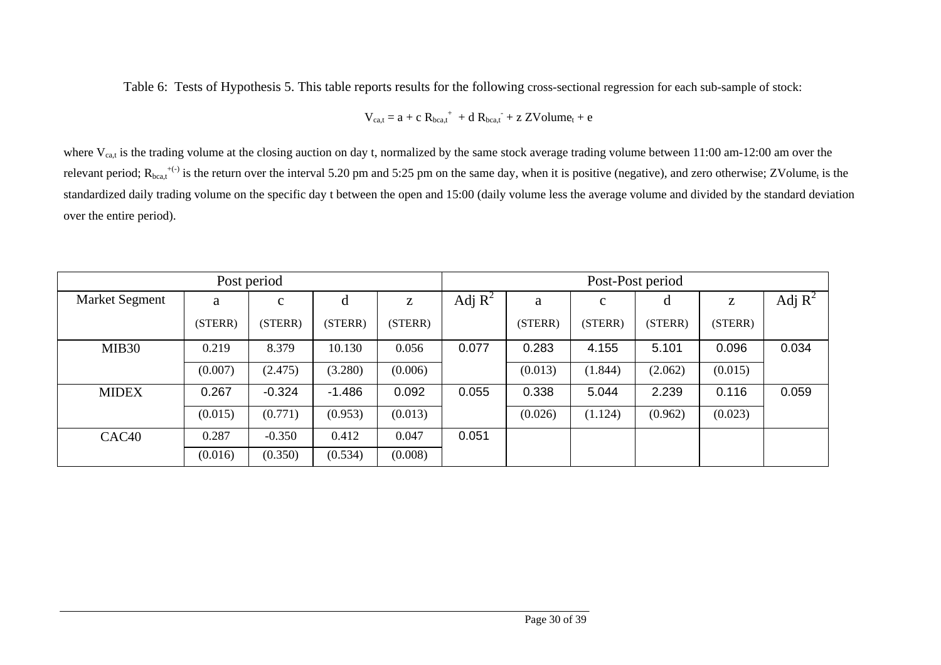Table 6: Tests of Hypothesis 5. This table reports results for the following cross-sectional regression for each sub-sample of stock:

$$
V_{ca,t} = a + c R_{bca,t}^+ + d R_{bca,t}^+ + z ZVolume_t + e
$$

where  $V_{ca,t}$  is the trading volume at the closing auction on day t, normalized by the same stock average trading volume between 11:00 am-12:00 am over the relevant period;  $R_{bca,t}^{+(-)}$  is the return over the interval 5.20 pm and 5:25 pm on the same day, when it is positive (negative), and zero otherwise; ZVolume<sub>t</sub> is the standardized daily trading volume on the specific day t between the open and 15:00 (daily volume less the average volume and divided by the standard deviation over the entire period).

|                       |         | Post period  |          |         |           |         |              | Post-Post period |         |           |
|-----------------------|---------|--------------|----------|---------|-----------|---------|--------------|------------------|---------|-----------|
| <b>Market Segment</b> | a       | $\mathbf{c}$ | đ        | Z       | Adj $R^2$ | a       | $\mathbf{c}$ |                  | Z       | Adj $R^2$ |
|                       | (STERR) | (STERR)      | (STERR)  | (STERR) |           | (STERR) | (STERR)      | (STERR)          | (STERR) |           |
| MIB <sub>30</sub>     | 0.219   | 8.379        | 10.130   | 0.056   | 0.077     | 0.283   | 4.155        | 5.101            | 0.096   | 0.034     |
|                       | (0.007) | (2.475)      | (3.280)  | (0.006) |           | (0.013) | (1.844)      | (2.062)          | (0.015) |           |
| <b>MIDEX</b>          | 0.267   | $-0.324$     | $-1.486$ | 0.092   | 0.055     | 0.338   | 5.044        | 2.239            | 0.116   | 0.059     |
|                       | (0.015) | (0.771)      | (0.953)  | (0.013) |           | (0.026) | (1.124)      | (0.962)          | (0.023) |           |
| CAC <sub>40</sub>     | 0.287   | $-0.350$     | 0.412    | 0.047   | 0.051     |         |              |                  |         |           |
|                       | (0.016) | (0.350)      | (0.534)  | (0.008) |           |         |              |                  |         |           |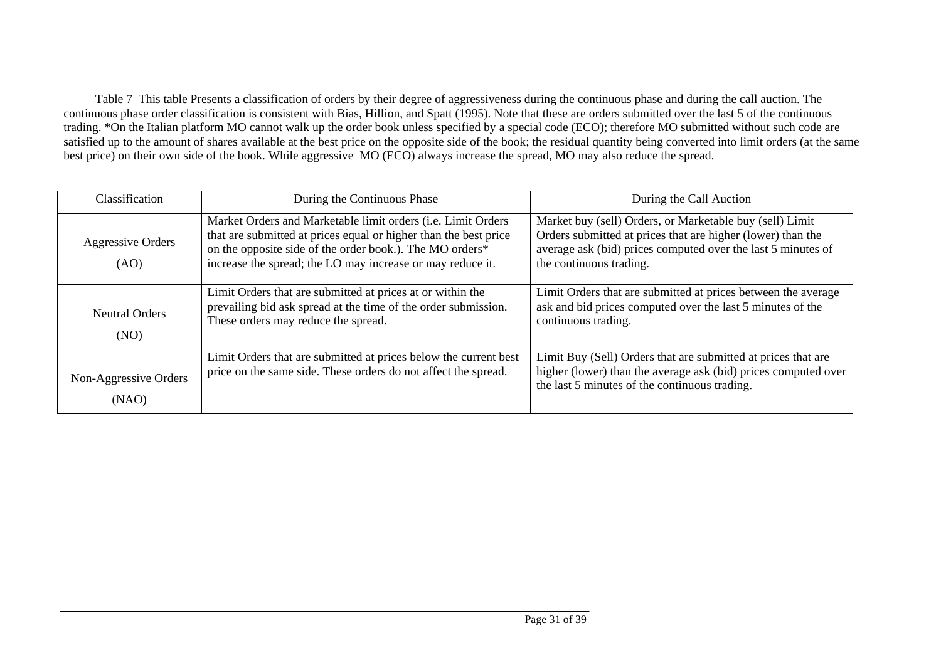Table 7 This table Presents a classification of orders by their degree of aggressiveness during the continuous phase and during the call auction. The continuous phase order classification is consistent with Bias, Hillion, and Spatt (1995). Note that these are orders submitted over the last 5 of the continuous trading. \*On the Italian platform MO cannot walk up the order book unless specified by a special code (ECO); therefore MO submitted without such code are satisfied up to the amount of shares available at the best price on the opposite side of the book; the residual quantity being converted into limit orders (at the same best price) on their own side of the book. While aggressive MO (ECO) always increase the spread, MO may also reduce the spread.

| Classification                 | During the Continuous Phase                                                                                                                                                                                                                                | During the Call Auction                                                                                                                                                                                            |
|--------------------------------|------------------------------------------------------------------------------------------------------------------------------------------------------------------------------------------------------------------------------------------------------------|--------------------------------------------------------------------------------------------------------------------------------------------------------------------------------------------------------------------|
| Aggressive Orders<br>(AO)      | Market Orders and Marketable limit orders (i.e. Limit Orders<br>that are submitted at prices equal or higher than the best price<br>on the opposite side of the order book.). The MO orders*<br>increase the spread; the LO may increase or may reduce it. | Market buy (sell) Orders, or Marketable buy (sell) Limit<br>Orders submitted at prices that are higher (lower) than the<br>average ask (bid) prices computed over the last 5 minutes of<br>the continuous trading. |
| <b>Neutral Orders</b><br>(NO)  | Limit Orders that are submitted at prices at or within the<br>prevailing bid ask spread at the time of the order submission.<br>These orders may reduce the spread.                                                                                        | Limit Orders that are submitted at prices between the average<br>ask and bid prices computed over the last 5 minutes of the<br>continuous trading.                                                                 |
| Non-Aggressive Orders<br>(NAO) | Limit Orders that are submitted at prices below the current best<br>price on the same side. These orders do not affect the spread.                                                                                                                         | Limit Buy (Sell) Orders that are submitted at prices that are<br>higher (lower) than the average ask (bid) prices computed over<br>the last 5 minutes of the continuous trading.                                   |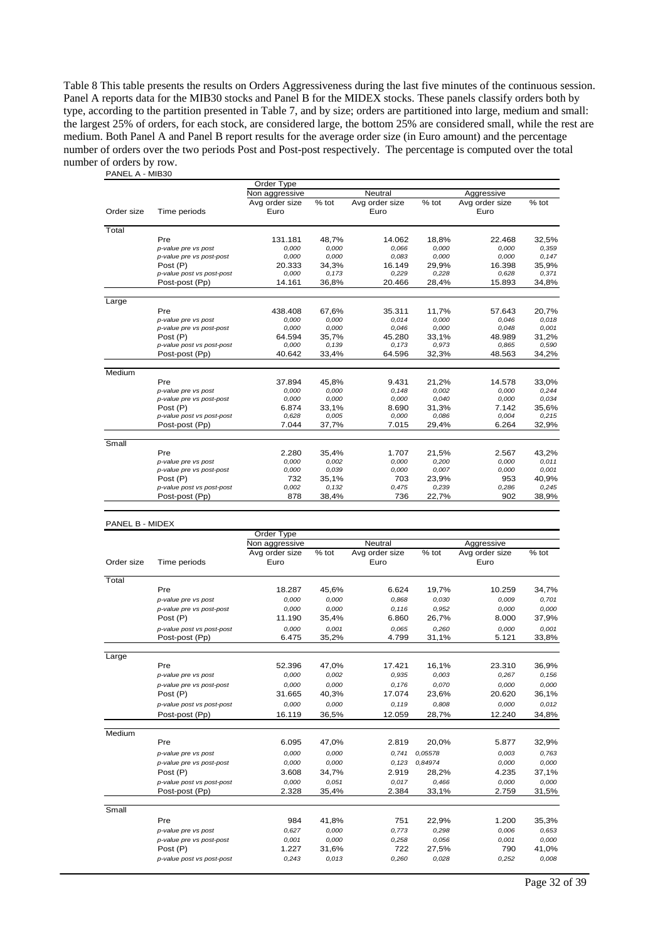Table 8 This table presents the results on Orders Aggressiveness during the last five minutes of the continuous session. Panel A reports data for the MIB30 stocks and Panel B for the MIDEX stocks. These panels classify orders both by type, according to the partition presented in Table 7, and by size; orders are partitioned into large, medium and small: the largest 25% of orders, for each stock, are considered large, the bottom 25% are considered small, while the rest are medium. Both Panel A and Panel B report results for the average order size (in Euro amount) and the percentage number of orders over the two periods Post and Post-post respectively. The percentage is computed over the total number of orders by row. PANEL A - MIB30

|            |                           | Order Type     |       |                |         |                |       |
|------------|---------------------------|----------------|-------|----------------|---------|----------------|-------|
|            |                           | Non aggressive |       | Neutral        |         | Aggressive     |       |
|            |                           | Avg order size | % tot | Avg order size | $%$ tot | Avg order size | % tot |
| Order size | Time periods              | Euro           |       | Euro           |         | Euro           |       |
| Total      |                           |                |       |                |         |                |       |
|            | Pre                       | 131.181        | 48,7% | 14.062         | 18,8%   | 22.468         | 32,5% |
|            | p-value pre vs post       | 0.000          | 0.000 | 0,066          | 0,000   | 0.000          | 0,359 |
|            | p-value pre vs post-post  | 0,000          | 0,000 | 0,083          | 0,000   | 0,000          | 0,147 |
|            | Post (P)                  | 20.333         | 34,3% | 16.149         | 29,9%   | 16.398         | 35,9% |
|            | p-value post vs post-post | 0,000          | 0,173 | 0,229          | 0,228   | 0,628          | 0.371 |
|            | Post-post (Pp)            | 14.161         | 36,8% | 20.466         | 28,4%   | 15.893         | 34,8% |
|            |                           |                |       |                |         |                |       |
| Large      | Pre                       | 438.408        | 67,6% | 35.311         | 11,7%   | 57.643         | 20,7% |
|            | p-value pre vs post       | 0,000          | 0,000 | 0,014          | 0,000   | 0,046          | 0.018 |
|            | p-value pre vs post-post  | 0,000          | 0,000 | 0,046          | 0,000   | 0,048          | 0,001 |
|            | Post (P)                  | 64.594         | 35,7% | 45.280         | 33,1%   | 48.989         | 31,2% |
|            | p-value post vs post-post | 0,000          | 0,139 | 0,173          | 0,973   | 0.865          | 0,590 |
|            | Post-post (Pp)            | 40.642         | 33,4% | 64.596         | 32,3%   | 48.563         | 34,2% |
| Medium     |                           |                |       |                |         |                |       |
|            | Pre                       | 37.894         | 45,8% | 9.431          | 21,2%   | 14.578         | 33,0% |
|            | p-value pre vs post       | 0,000          | 0,000 | 0.148          | 0,002   | 0,000          | 0,244 |
|            | p-value pre vs post-post  | 0,000          | 0,000 | 0,000          | 0.040   | 0,000          | 0,034 |
|            | Post (P)                  | 6.874          | 33,1% | 8.690          | 31,3%   | 7.142          | 35,6% |
|            | p-value post vs post-post | 0,628          | 0.005 | 0.000          | 0,086   | 0.004          | 0,215 |
|            | Post-post (Pp)            | 7.044          | 37,7% | 7.015          | 29,4%   | 6.264          | 32,9% |
| Small      |                           |                |       |                |         |                |       |
|            | Pre                       | 2.280          | 35,4% | 1.707          | 21,5%   | 2.567          | 43,2% |
|            | p-value pre vs post       | 0,000          | 0,002 | 0,000          | 0.200   | 0,000          | 0,011 |
|            | p-value pre vs post-post  | 0,000          | 0,039 | 0,000          | 0,007   | 0,000          | 0,001 |
|            | Post (P)                  | 732            | 35,1% | 703            | 23,9%   | 953            | 40.9% |
|            | p-value post vs post-post | 0,002          | 0.132 | 0,475          | 0,239   | 0,286          | 0,245 |
|            | Post-post (Pp)            | 878            | 38,4% | 736            | 22,7%   | 902            | 38,9% |

#### PANEL B - MIDEX

|            |                           | Order Type     |         |                |         |                |       |
|------------|---------------------------|----------------|---------|----------------|---------|----------------|-------|
|            |                           | Non aggressive |         | Neutral        |         | Aggressive     |       |
|            |                           | Avg order size | $%$ tot | Avg order size | $%$ tot | Avg order size | % tot |
| Order size | Time periods              | Euro           |         | Euro           |         | Euro           |       |
| Total      |                           |                |         |                |         |                |       |
|            | Pre                       | 18.287         | 45,6%   | 6.624          | 19,7%   | 10.259         | 34,7% |
|            | p-value pre vs post       | 0,000          | 0,000   | 0,868          | 0.030   | 0,009          | 0,701 |
|            | p-value pre vs post-post  | 0,000          | 0.000   | 0.116          | 0,952   | 0,000          | 0,000 |
|            | Post (P)                  | 11.190         | 35,4%   | 6.860          | 26,7%   | 8.000          | 37,9% |
|            | p-value post vs post-post | 0,000          | 0,001   | 0,065          | 0,260   | 0.000          | 0,001 |
|            | Post-post (Pp)            | 6.475          | 35,2%   | 4.799          | 31,1%   | 5.121          | 33,8% |
| Large      |                           |                |         |                |         |                |       |
|            | Pre                       | 52.396         | 47,0%   | 17.421         | 16,1%   | 23.310         | 36,9% |
|            | p-value pre vs post       | 0,000          | 0.002   | 0.935          | 0,003   | 0,267          | 0,156 |
|            | p-value pre vs post-post  | 0,000          | 0.000   | 0,176          | 0.070   | 0.000          | 0.000 |
|            | Post (P)                  | 31.665         | 40,3%   | 17.074         | 23,6%   | 20.620         | 36,1% |
|            | p-value post vs post-post | 0,000          | 0.000   | 0.119          | 0,808   | 0.000          | 0,012 |
|            | Post-post (Pp)            | 16.119         | 36,5%   | 12.059         | 28,7%   | 12.240         | 34,8% |
| Medium     |                           |                |         |                |         |                |       |
|            | Pre                       | 6.095          | 47,0%   | 2.819          | 20,0%   | 5.877          | 32,9% |
|            | p-value pre vs post       | 0,000          | 0,000   | 0.741          | 0.05578 | 0.003          | 0,763 |
|            | p-value pre vs post-post  | 0,000          | 0,000   | 0,123          | 0.84974 | 0,000          | 0,000 |
|            | Post (P)                  | 3.608          | 34,7%   | 2.919          | 28,2%   | 4.235          | 37,1% |
|            | p-value post vs post-post | 0,000          | 0.051   | 0,017          | 0.466   | 0.000          | 0,000 |
|            | Post-post (Pp)            | 2.328          | 35,4%   | 2.384          | 33,1%   | 2.759          | 31,5% |
| Small      |                           |                |         |                |         |                |       |
|            | Pre                       | 984            | 41,8%   | 751            | 22,9%   | 1.200          | 35,3% |
|            | p-value pre vs post       | 0.627          | 0.000   | 0,773          | 0.298   | 0.006          | 0.653 |
|            | p-value pre vs post-post  | 0,001          | 0,000   | 0,258          | 0,056   | 0.001          | 0.000 |
|            | Post (P)                  | 1.227          | 31,6%   | 722            | 27,5%   | 790            | 41,0% |
|            | p-value post vs post-post | 0,243          | 0,013   | 0,260          | 0,028   | 0,252          | 0,008 |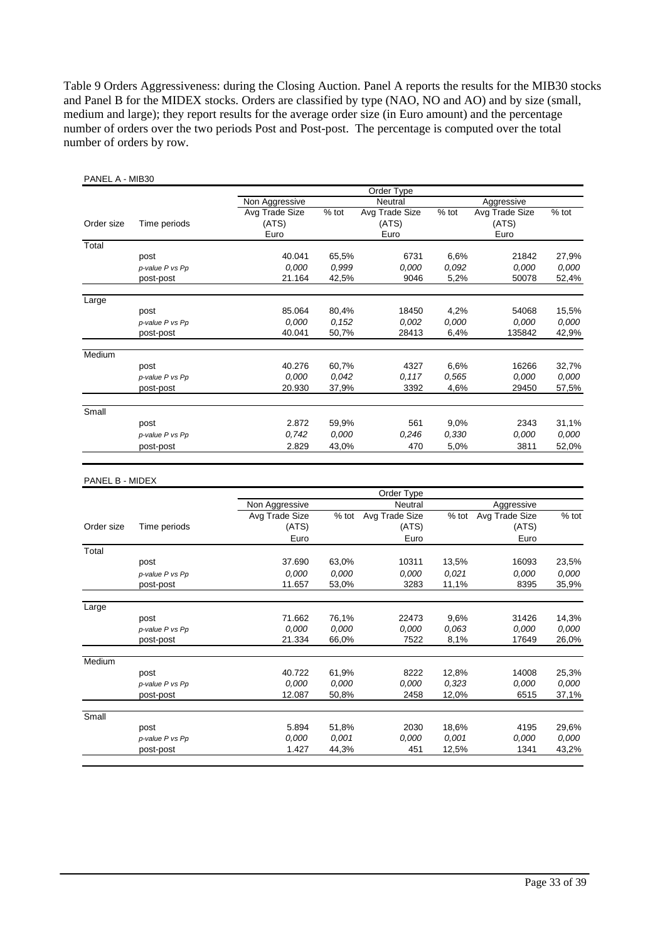Table 9 Orders Aggressiveness: during the Closing Auction. Panel A reports the results for the MIB30 stocks and Panel B for the MIDEX stocks. Orders are classified by type (NAO, NO and AO) and by size (small, medium and large); they report results for the average order size (in Euro amount) and the percentage number of orders over the two periods Post and Post-post. The percentage is computed over the total number of orders by row.

| PANEL A - MIB30 |                 |                |         |                |         |                |         |
|-----------------|-----------------|----------------|---------|----------------|---------|----------------|---------|
|                 |                 |                |         | Order Type     |         |                |         |
|                 |                 | Non Aggressive |         | Neutral        |         | Aggressive     |         |
|                 |                 | Avg Trade Size | $%$ tot | Avg Trade Size | % tot   | Avg Trade Size | % tot   |
| Order size      | Time periods    | (ATS)          |         | (ATS)          |         | (ATS)          |         |
|                 |                 | Euro           |         | Euro           |         | Euro           |         |
| Total           |                 |                |         |                |         |                |         |
|                 | post            | 40.041         | 65,5%   | 6731           | 6,6%    | 21842          | 27,9%   |
|                 | p-value P vs Pp | 0,000          | 0,999   | 0.000          | 0,092   | 0,000          | 0,000   |
|                 | post-post       | 21.164         | 42,5%   | 9046           | 5,2%    | 50078          | 52,4%   |
| Large           |                 |                |         |                |         |                |         |
|                 | post            | 85.064         | 80,4%   | 18450          | 4,2%    | 54068          | 15,5%   |
|                 | p-value P vs Pp | 0,000          | 0,152   | 0,002          | 0,000   | 0,000          | 0,000   |
|                 | post-post       | 40.041         | 50,7%   | 28413          | 6,4%    | 135842         | 42,9%   |
| Medium          |                 |                |         |                |         |                |         |
|                 | post            | 40.276         | 60,7%   | 4327           | 6,6%    | 16266          | 32,7%   |
|                 | p-value P vs Pp | 0,000          | 0,042   | 0,117          | 0,565   | 0,000          | 0,000   |
|                 | post-post       | 20.930         | 37,9%   | 3392           | 4,6%    | 29450          | 57,5%   |
|                 |                 |                |         |                |         |                |         |
| Small           |                 |                |         |                |         |                |         |
|                 | post            | 2.872          | 59,9%   | 561            | 9,0%    | 2343           | 31,1%   |
|                 | p-value P vs Pp | 0,742          | 0,000   | 0,246          | 0,330   | 0,000          | 0,000   |
|                 | post-post       | 2.829          | 43,0%   | 470            | 5,0%    | 3811           | 52,0%   |
| PANEL B - MIDEX |                 |                |         | Order Type     |         |                |         |
|                 |                 | Non Aggressive |         | Neutral        |         | Aggressive     |         |
|                 |                 | Avg Trade Size | $%$ tot | Avg Trade Size | $%$ tot | Avg Trade Size | $%$ tot |
| Order size      | Time periods    | (ATS)          |         | (ATS)          |         | (ATS)          |         |
|                 |                 | Euro           |         | Euro           |         | Euro           |         |
| Total           |                 |                |         |                |         |                |         |
|                 | post            | 37.690         | 63,0%   | 10311          | 13,5%   | 16093          | 23,5%   |
|                 | p-value P vs Pp | 0,000          | 0,000   | 0,000          | 0,021   | 0,000          | 0,000   |
|                 | post-post       | 11.657         | 53,0%   | 3283           | 11,1%   | 8395           | 35,9%   |
| Large           |                 |                |         |                |         |                |         |
|                 | post            | 71.662         | 76,1%   | 22473          | 9,6%    | 31426          | 14,3%   |
|                 | p-value P vs Pp | 0,000          | 0,000   | 0,000          | 0,063   | 0,000          | 0,000   |
|                 | post-post       | 21.334         | 66,0%   | 7522           | 8,1%    | 17649          | 26,0%   |
|                 |                 |                |         |                |         |                |         |
| Medium          |                 |                |         |                |         |                |         |
|                 | post            | 40.722         | 61,9%   | 8222           | 12,8%   | 14008          | 25,3%   |
|                 | p-value P vs Pp | 0,000          | 0,000   | 0.000          | 0,323   | 0,000          | 0,000   |
|                 | post-post       | 12.087         | 50,8%   | 2458           | 12,0%   | 6515           | 37,1%   |
| Small           |                 |                |         |                |         |                |         |
|                 | post            | 5.894          | 51,8%   | 2030           | 18,6%   | 4195           | 29,6%   |
|                 | p-value P vs Pp | 0,000          | 0,001   | 0,000          | 0,001   | 0,000          | 0,000   |
|                 | post-post       | 1.427          | 44,3%   | 451            | 12,5%   | 1341           | 43,2%   |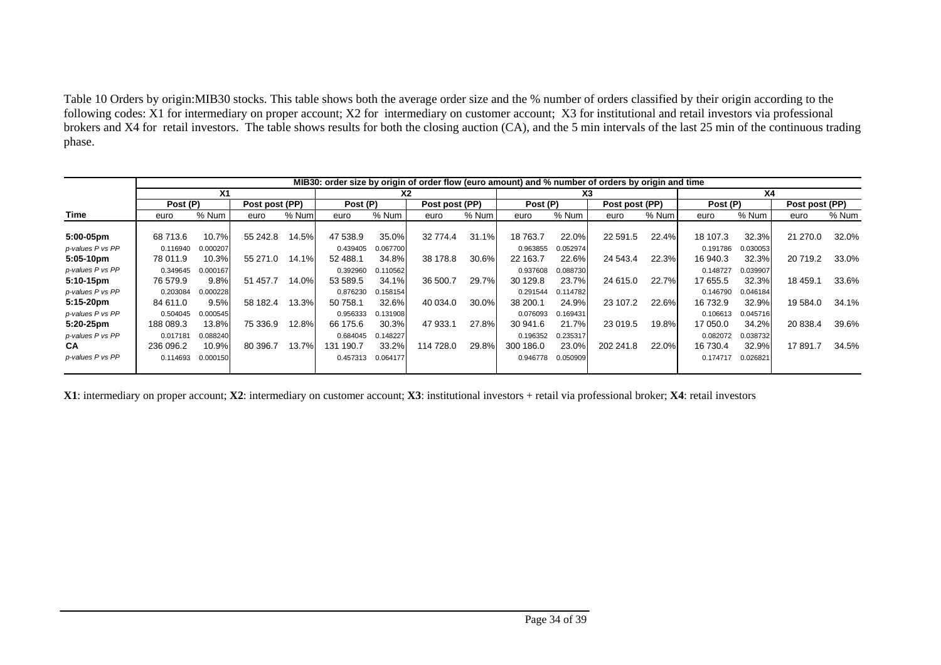Table 10 Orders by origin:MIB30 stocks. This table shows both the average order size and the % number of orders classified by their origin according to the following codes: X1 for intermediary on proper account; X2 for intermediary on customer account; X3 for institutional and retail investors via professional brokers and X4 for retail investors. The table shows results for both the closing auction (CA), and the 5 min intervals of the last 25 min of the continuous trading phase.

|                  | MIB30: order size by origin of order flow (euro amount) and % number of orders by origin and time |          |                |       |           |          |                |          |           |          |                |       |          |          |                |       |
|------------------|---------------------------------------------------------------------------------------------------|----------|----------------|-------|-----------|----------|----------------|----------|-----------|----------|----------------|-------|----------|----------|----------------|-------|
|                  | Χ1                                                                                                |          |                |       | <b>X2</b> |          |                |          | X3        |          |                |       | Χ4       |          |                |       |
|                  | Post (P)                                                                                          |          | Post post (PP) |       | Post (P)  |          | Post post (PP) |          | Post (P)  |          | Post post (PP) |       | Post (P) |          | Post post (PP) |       |
| Time             | euro                                                                                              | % Num    | euro           | % Num | euro      | % Num    | euro           | % Num    | euro      | % Num    | euro           | % Num | euro     | % Num    | euro           | % Num |
|                  |                                                                                                   |          |                |       |           |          |                |          |           |          |                |       |          |          |                |       |
| 5:00-05pm        | 68 713.6                                                                                          | 10.7%    | 55 242.8       | 14.5% | 47 538.9  | 35.0%    | 32 774.4       | 31.1%    | 18 763.7  | 22.0%    | 22 591.5       | 22.4% | 18 107.3 | 32.3%    | 21 270.0       | 32.0% |
| p-values P vs PP | 0.116940                                                                                          | 0.000207 |                |       | 0.439405  | 0.067700 |                |          | 0.963855  | 0.052974 |                |       | 0.191786 | 0.030053 |                |       |
| 5:05-10pm        | 78 011.9                                                                                          | 10.3%    | 55 271.0       | 14.1% | 52 488.1  | 34.8%    | 38 178.8       | $30.6\%$ | 22 163.7  | 22.6%    | 24 543.4       | 22.3% | 16 940.3 | 32.3%    | 20 719.2       | 33.0% |
| p-values P vs PP | 0.349645                                                                                          | 0.000167 |                |       | 0.392960  | 0.110562 |                |          | 0.937608  | 0.088730 |                |       | 0.148727 | 0.039907 |                |       |
| 5:10-15pm        | 76 579.9                                                                                          | 9.8%     | 51 457.7       | 14.0% | 53 589.5  | 34.1%    | 36 500.7       | 29.7%    | 30 129.8  | 23.7%    | 24 615.0       | 22.7% | 17 655.5 | 32.3%    | 18 459.1       | 33.6% |
| p-values P vs PP | 0.203084                                                                                          | 0.000228 |                |       | 0.876230  | 0.158154 |                |          | 0.291544  | 0.114782 |                |       | 0.146790 | 0.046184 |                |       |
| $5:15-20$ pm     | 84 611.0                                                                                          | 9.5%     | 58 182.4       | 13.3% | 50 758.1  | 32.6%    | 40 034.0       | $30.0\%$ | 38 200.1  | 24.9%    | 23 107.2       | 22.6% | 16 732.9 | 32.9%    | 19 584.0       | 34.1% |
| p-values P vs PP | 0.504045                                                                                          | 0.000545 |                |       | 0.956333  | 0.131908 |                |          | 0.076093  | 0.169431 |                |       | 0.106613 | 0.045716 |                |       |
| 5:20-25pm        | 188 089.3                                                                                         | 13.8%    | 75 336.9       | 12.8% | 66 175.6  | 30.3%    | 47 933.1       | 27.8%    | 30 941.6  | 21.7%    | 23 019.5       | 19.8% | 17 050.0 | 34.2%    | 20 838.4       | 39.6% |
| p-values P vs PP | 0.017181                                                                                          | 0.088240 |                |       | 0.684045  | 0.148227 |                |          | 0.196352  | 0.235317 |                |       | 0.082072 | 0.038732 |                |       |
| <b>CA</b>        | 236 096.2                                                                                         | 10.9%    | 80 396.7       | 13.7% | 131 190.7 | 33.2%    | 114 728.0      | 29.8%    | 300 186.0 | 23.0%    | 202 241.8      | 22.0% | 16 730.4 | 32.9%    | 17 891.7       | 34.5% |
| p-values P vs PP | 0.114693                                                                                          | 0.000150 |                |       | 0.457313  | 0.064177 |                |          | 0.946778  | 0.050909 |                |       | 0.174717 | 0.026821 |                |       |
|                  |                                                                                                   |          |                |       |           |          |                |          |           |          |                |       |          |          |                |       |

**X1**: intermediary on proper account; **X2**: intermediary on customer account; **X3**: institutional investors + retail via professional broker; **X4**: retail investors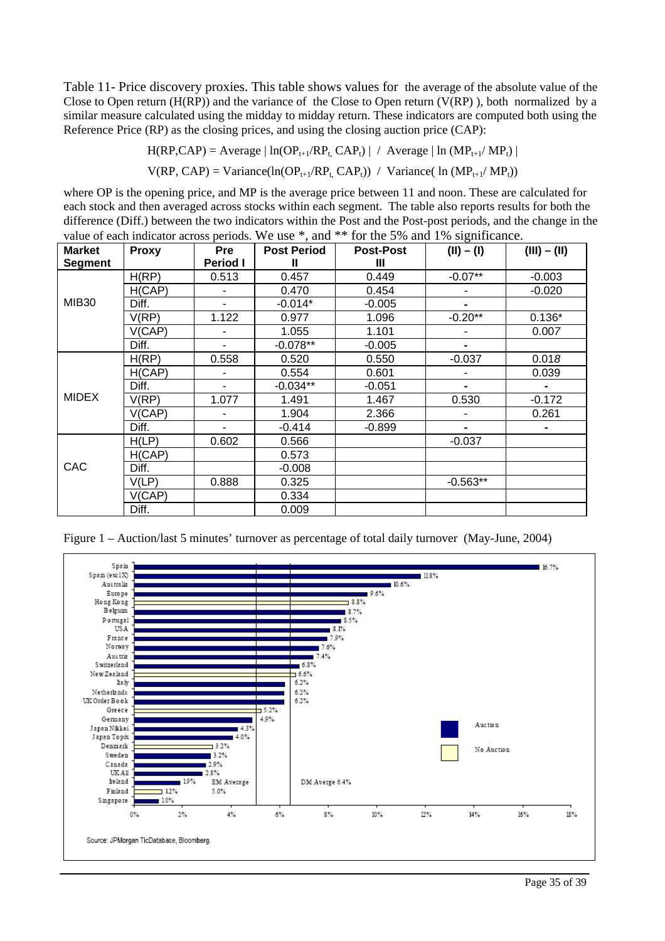Table 11- Price discovery proxies. This table shows values for the average of the absolute value of the Close to Open return  $(H(RP))$  and the variance of the Close to Open return  $(V(RP))$ , both normalized by a similar measure calculated using the midday to midday return. These indicators are computed both using the Reference Price (RP) as the closing prices, and using the closing auction price (CAP):

 $H(RP, CAP) = Average | ln(OP_{t+1}/RP_t, CAP_t) | / Average | ln (MP_{t+1}/MP_t) |$ 

 $V(RP, CAP) = Variance(ln(OP_{t+1}/RP_t, CAP_t)) / Variance(ln(MP_{t+1}/MP_t))$ 

where OP is the opening price, and MP is the average price between 11 and noon. These are calculated for each stock and then averaged across stocks within each segment. The table also reports results for both the difference (Diff.) between the two indicators within the Post and the Post-post periods, and the change in the value of each indicator across periods. We use \*, and \*\* for the 5% and 1% significance.

| <b>Market</b><br><b>Segment</b> | <b>Proxy</b> | <b>Pre</b><br><b>Period I</b> | <b>Post Period</b><br>Ш | <b>Post-Post</b><br>Ш | $(II) - (I)$   | $(III) - (II)$ |  |
|---------------------------------|--------------|-------------------------------|-------------------------|-----------------------|----------------|----------------|--|
|                                 | H(RP)        | 0.513                         | 0.457                   | 0.449                 | $-0.07**$      | $-0.003$       |  |
| <b>MIB30</b>                    | H(CAP)       |                               | 0.470                   | 0.454                 |                | $-0.020$       |  |
|                                 | Diff.        |                               | $-0.014*$               | $-0.005$              |                |                |  |
|                                 | V(RP)        | 1.122                         | 0.977                   | 1.096                 | $-0.20**$      | $0.136*$       |  |
|                                 | V(CAP)       |                               | 1.055                   | 1.101                 |                | 0.007          |  |
|                                 | Diff.        | $\blacksquare$                | $-0.078**$              | $-0.005$              | $\blacksquare$ |                |  |
|                                 | H(RP)        | 0.558                         | 0.520                   | 0.550                 | $-0.037$       | 0.018          |  |
|                                 | H(CAP)       |                               | 0.554                   | 0.601                 |                | 0.039          |  |
|                                 | Diff.        |                               | $-0.034**$              | $-0.051$              | $\blacksquare$ |                |  |
| <b>MIDEX</b>                    | V(RP)        | 1.077                         | 1.491                   | 1.467                 | 0.530          | $-0.172$       |  |
|                                 | V(CAP)       |                               | 1.904                   | 2.366                 |                | 0.261          |  |
|                                 | Diff.        |                               | $-0.414$                | $-0.899$              | $\blacksquare$ |                |  |
|                                 | H(LP)        | 0.602                         | 0.566                   |                       | $-0.037$       |                |  |
|                                 | H(CAP)       |                               | 0.573                   |                       |                |                |  |
| CAC                             | Diff.        |                               | $-0.008$                |                       |                |                |  |
|                                 | V(LP)        | 0.888                         | 0.325                   |                       | $-0.563**$     |                |  |
|                                 | V(CAP)       |                               | 0.334                   |                       |                |                |  |
|                                 | Diff.        |                               | 0.009                   |                       |                |                |  |

Figure 1 – Auction/last 5 minutes' turnover as percentage of total daily turnover (May-June, 2004)

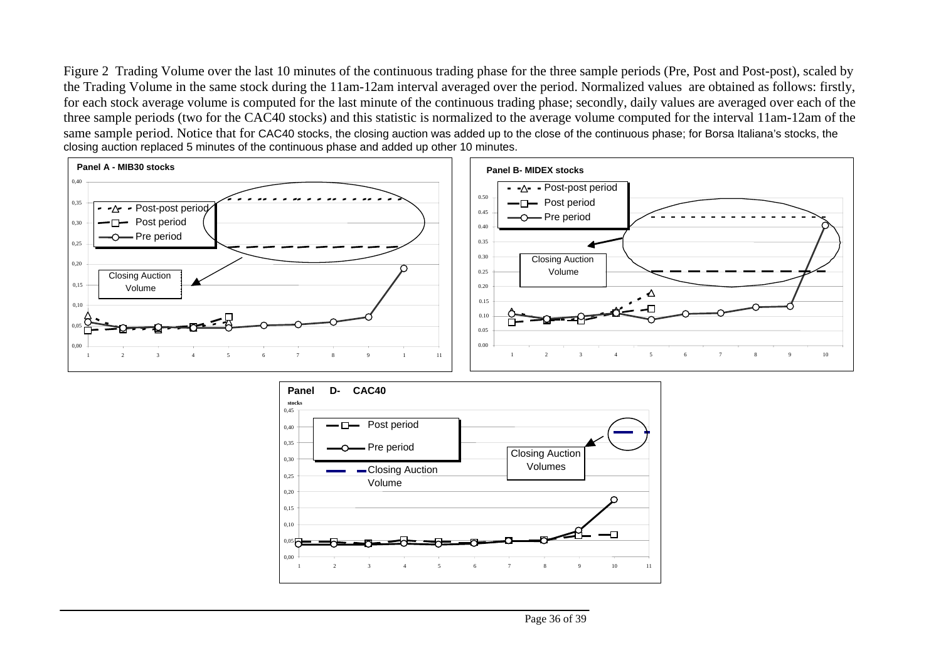Figure 2 Trading Volume over the last 10 minutes of the continuous trading phase for the three sample periods (Pre, Post and Post-post), scaled by the Trading Volume in the same stock during the 11am-12am interval averaged over the period. Normalized values are obtained as follows: firstly, for each stock average volume is computed for the last minute of the continuous trading phase; secondly, daily values are averaged over each of the three sample periods (two for the CAC40 stocks) and this statistic is normalized to the average volume computed for the interval 11am-12am of the same sample period. Notice that for CAC40 stocks, the closing auction was added up to the close of the continuous phase; for Borsa Italiana's stocks, the closing auction replaced 5 minutes of the continuous phase and added up other 10 minutes.



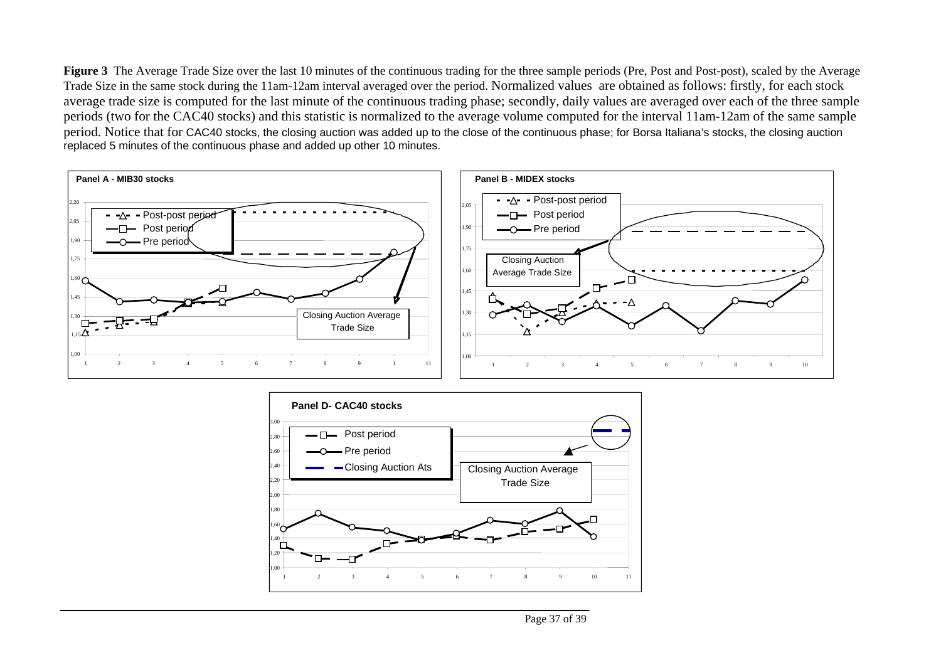**Figure 3** The Average Trade Size over the last 10 minutes of the continuous trading for the three sample periods (Pre, Post and Post-post), scaled by the Average Trade Size in the same stock during the 11am-12am interval averaged over the period. Normalized values are obtained as follows: firstly, for each stock average trade size is computed for the last minute of the continuous trading phase; secondly, daily values are averaged over each of the three sample periods (two for the CAC40 stocks) and this statistic is normalized to the average volume computed for the interval 11am-12am of the same sample period. Notice that for CAC40 stocks, the closing auction was added up to the close of the continuous phase; for Borsa Italiana's stocks, the closing auction replaced 5 minutes of the continuous phase and added up other 10 minutes.



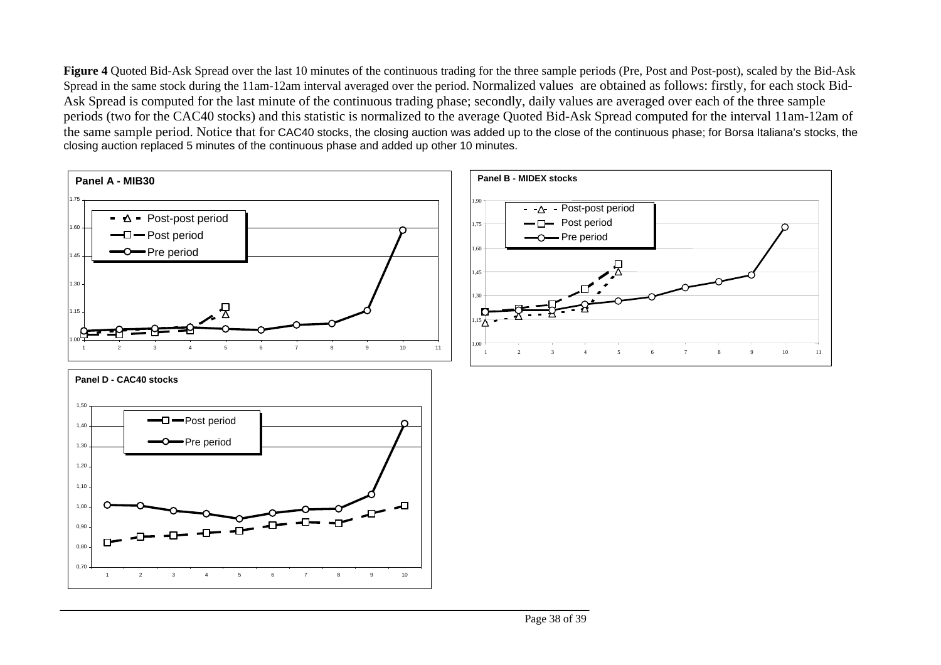Figure 4 Quoted Bid-Ask Spread over the last 10 minutes of the continuous trading for the three sample periods (Pre, Post and Post-post), scaled by the Bid-Ask Spread in the same stock during the 11am-12am interval averaged over the period. Normalized values are obtained as follows: firstly, for each stock Bid-Ask Spread is computed for the last minute of the continuous trading phase; secondly, daily values are averaged over each of the three sample periods (two for the CAC40 stocks) and this statistic is normalized to the average Quoted Bid-Ask Spread computed for the interval 11am-12am of the same sample period. Notice that for CAC40 stocks, the closing auction was added up to the close of the continuous phase; for Borsa Italiana's stocks, the closing auction replaced 5 minutes of the continuous phase and added up other 10 minutes.